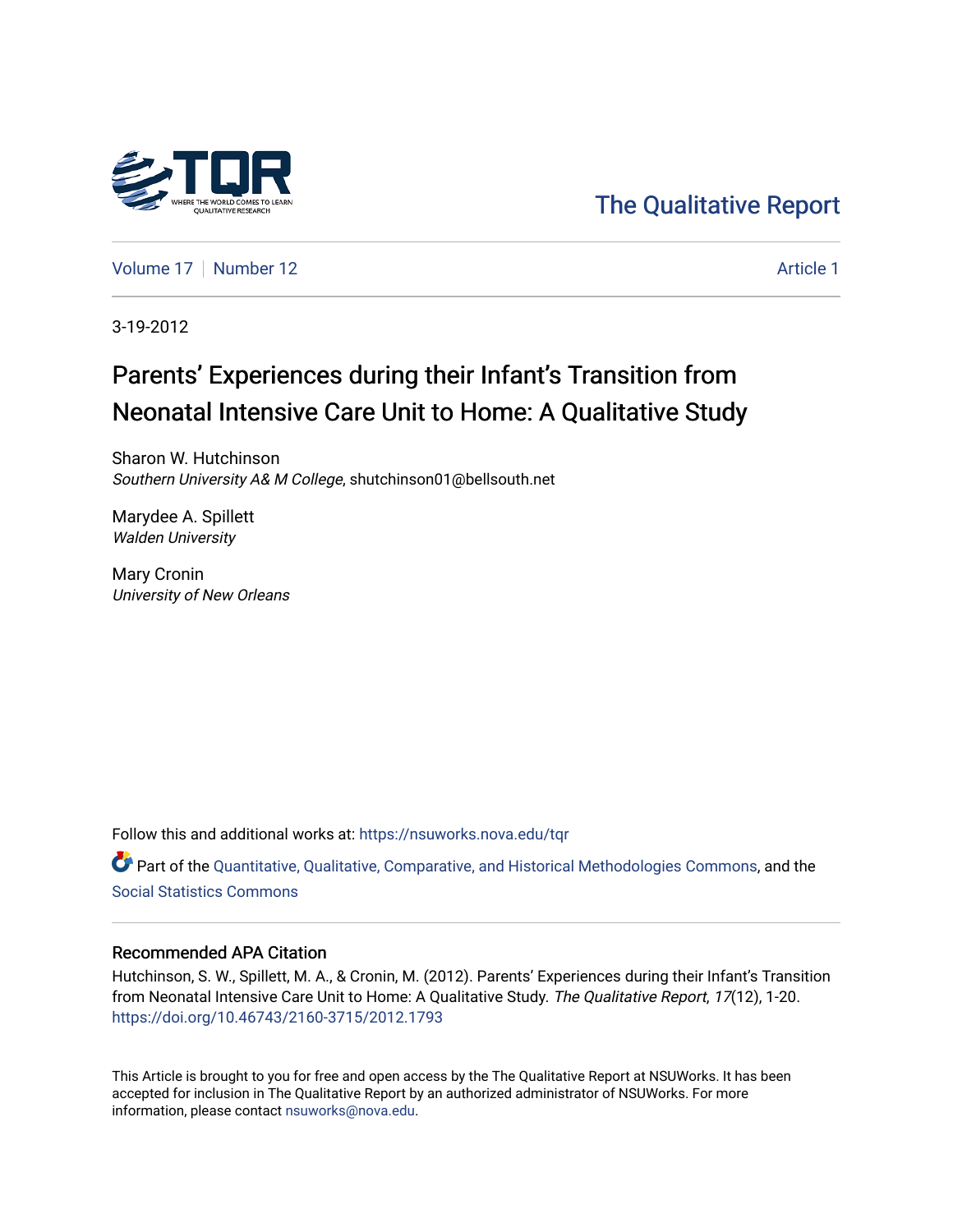

# [The Qualitative Report](https://nsuworks.nova.edu/tqr)

[Volume 17](https://nsuworks.nova.edu/tqr/vol17) [Number 12](https://nsuworks.nova.edu/tqr/vol17/iss12) Article 1

3-19-2012

# Parents' Experiences during their Infant's Transition from Neonatal Intensive Care Unit to Home: A Qualitative Study

Sharon W. Hutchinson Southern University A& M College, shutchinson01@bellsouth.net

Marydee A. Spillett Walden University

Mary Cronin University of New Orleans

Follow this and additional works at: [https://nsuworks.nova.edu/tqr](https://nsuworks.nova.edu/tqr?utm_source=nsuworks.nova.edu%2Ftqr%2Fvol17%2Fiss12%2F1&utm_medium=PDF&utm_campaign=PDFCoverPages) 

Part of the [Quantitative, Qualitative, Comparative, and Historical Methodologies Commons,](http://network.bepress.com/hgg/discipline/423?utm_source=nsuworks.nova.edu%2Ftqr%2Fvol17%2Fiss12%2F1&utm_medium=PDF&utm_campaign=PDFCoverPages) and the [Social Statistics Commons](http://network.bepress.com/hgg/discipline/1275?utm_source=nsuworks.nova.edu%2Ftqr%2Fvol17%2Fiss12%2F1&utm_medium=PDF&utm_campaign=PDFCoverPages) 

## Recommended APA Citation

Hutchinson, S. W., Spillett, M. A., & Cronin, M. (2012). Parents' Experiences during their Infant's Transition from Neonatal Intensive Care Unit to Home: A Qualitative Study. The Qualitative Report, 17(12), 1-20. <https://doi.org/10.46743/2160-3715/2012.1793>

This Article is brought to you for free and open access by the The Qualitative Report at NSUWorks. It has been accepted for inclusion in The Qualitative Report by an authorized administrator of NSUWorks. For more information, please contact [nsuworks@nova.edu.](mailto:nsuworks@nova.edu)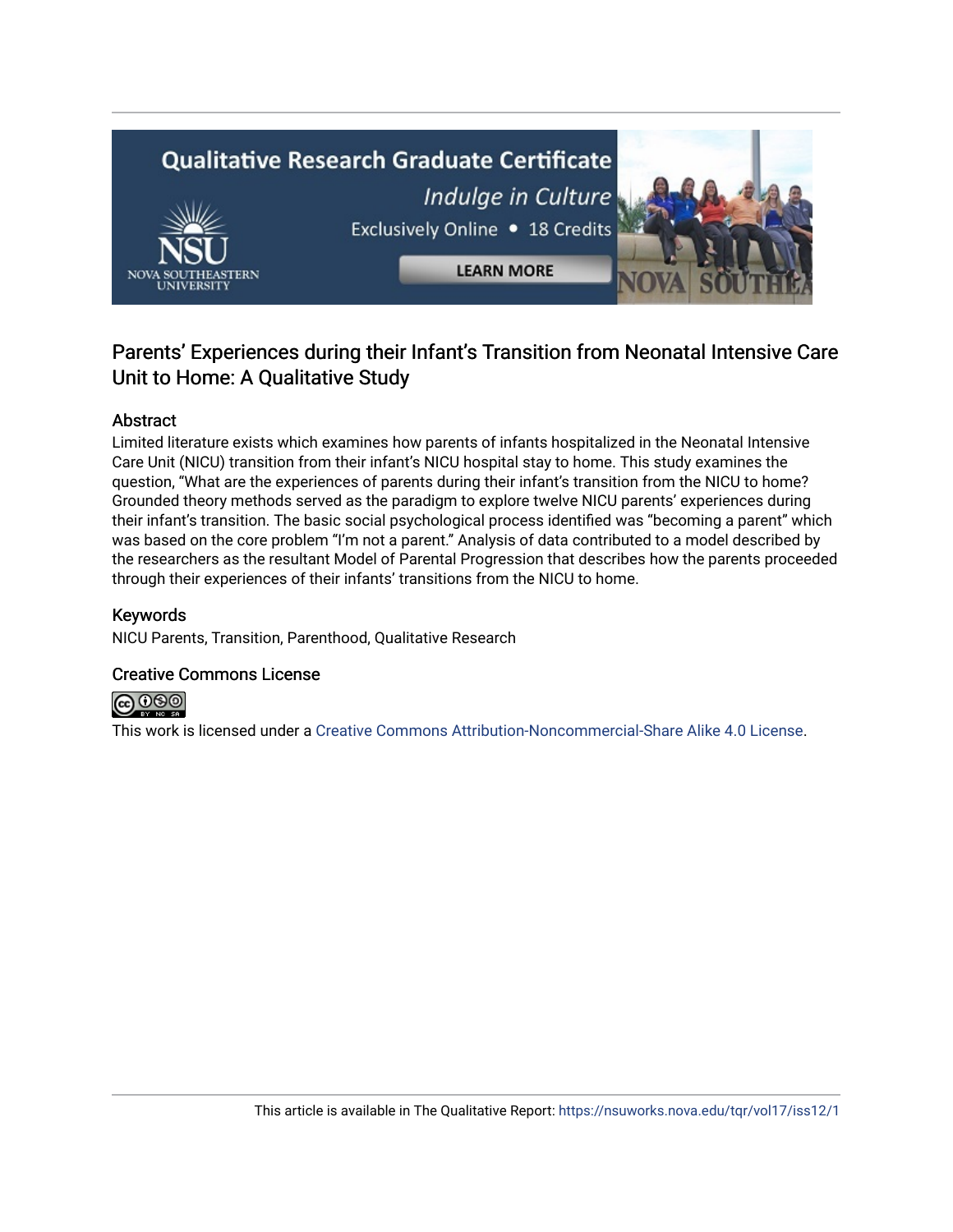

## Parents' Experiences during their Infant's Transition from Neonatal Intensive Care Unit to Home: A Qualitative Study

## Abstract

Limited literature exists which examines how parents of infants hospitalized in the Neonatal Intensive Care Unit (NICU) transition from their infant's NICU hospital stay to home. This study examines the question, "What are the experiences of parents during their infant's transition from the NICU to home? Grounded theory methods served as the paradigm to explore twelve NICU parents' experiences during their infant's transition. The basic social psychological process identified was "becoming a parent" which was based on the core problem "I'm not a parent." Analysis of data contributed to a model described by the researchers as the resultant Model of Parental Progression that describes how the parents proceeded through their experiences of their infants' transitions from the NICU to home.

## Keywords

NICU Parents, Transition, Parenthood, Qualitative Research

## Creative Commons License



This work is licensed under a [Creative Commons Attribution-Noncommercial-Share Alike 4.0 License](https://creativecommons.org/licenses/by-nc-sa/4.0/).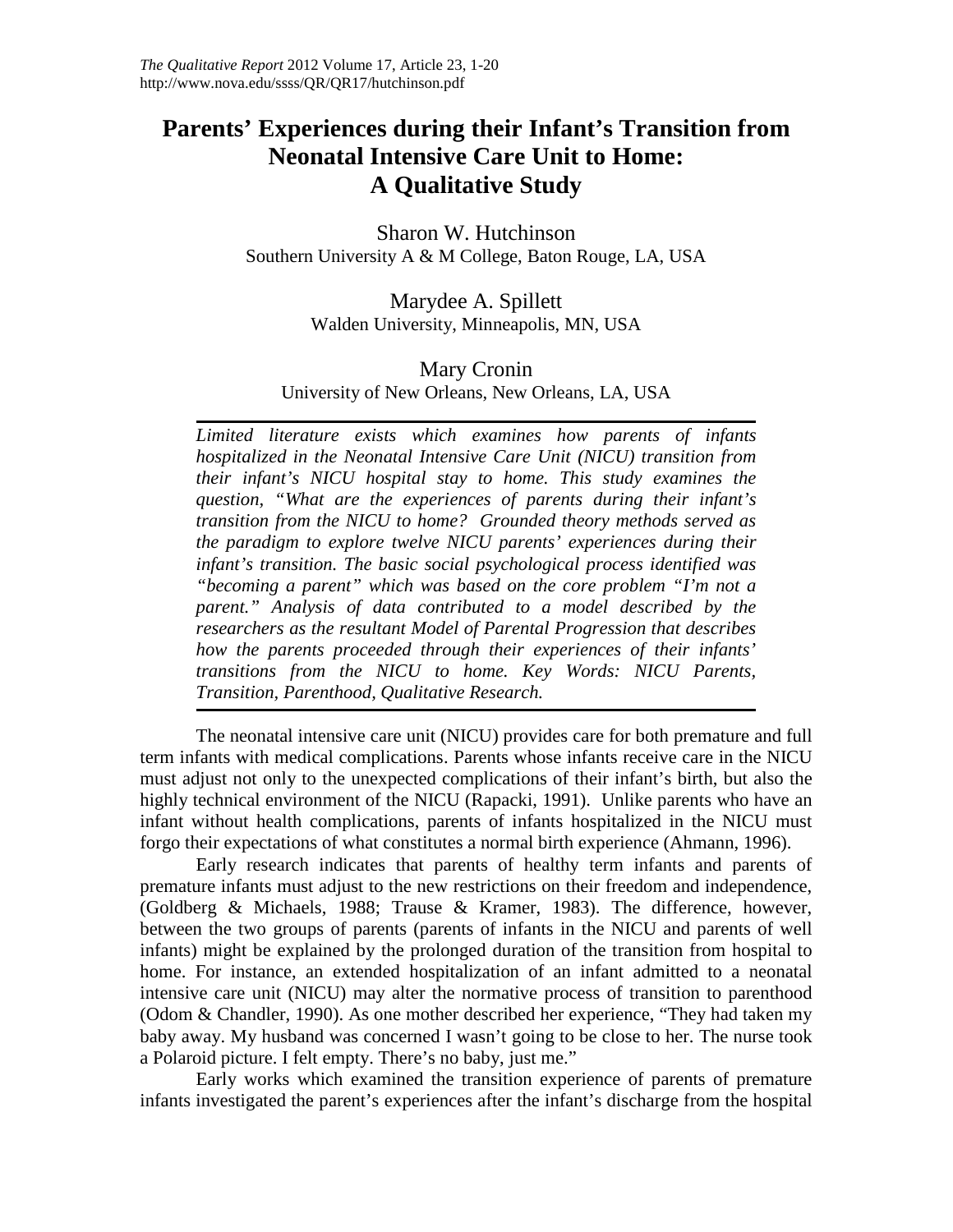## **Parents' Experiences during their Infant's Transition from Neonatal Intensive Care Unit to Home: A Qualitative Study**

Sharon W. Hutchinson Southern University A & M College, Baton Rouge, LA, USA

> Marydee A. Spillett Walden University, Minneapolis, MN, USA

## Mary Cronin University of New Orleans, New Orleans, LA, USA

*Limited literature exists which examines how parents of infants hospitalized in the Neonatal Intensive Care Unit (NICU) transition from their infant's NICU hospital stay to home. This study examines the question, "What are the experiences of parents during their infant's transition from the NICU to home? Grounded theory methods served as the paradigm to explore twelve NICU parents' experiences during their infant's transition. The basic social psychological process identified was "becoming a parent" which was based on the core problem "I'm not a parent." Analysis of data contributed to a model described by the researchers as the resultant Model of Parental Progression that describes how the parents proceeded through their experiences of their infants' transitions from the NICU to home. Key Words: NICU Parents, Transition, Parenthood, Qualitative Research.*

The neonatal intensive care unit (NICU) provides care for both premature and full term infants with medical complications. Parents whose infants receive care in the NICU must adjust not only to the unexpected complications of their infant's birth, but also the highly technical environment of the NICU (Rapacki, 1991). Unlike parents who have an infant without health complications, parents of infants hospitalized in the NICU must forgo their expectations of what constitutes a normal birth experience (Ahmann, 1996).

Early research indicates that parents of healthy term infants and parents of premature infants must adjust to the new restrictions on their freedom and independence, (Goldberg & Michaels, 1988; Trause & Kramer, 1983). The difference, however, between the two groups of parents (parents of infants in the NICU and parents of well infants) might be explained by the prolonged duration of the transition from hospital to home. For instance, an extended hospitalization of an infant admitted to a neonatal intensive care unit (NICU) may alter the normative process of transition to parenthood (Odom & Chandler, 1990). As one mother described her experience, "They had taken my baby away. My husband was concerned I wasn't going to be close to her. The nurse took a Polaroid picture. I felt empty. There's no baby, just me."

Early works which examined the transition experience of parents of premature infants investigated the parent's experiences after the infant's discharge from the hospital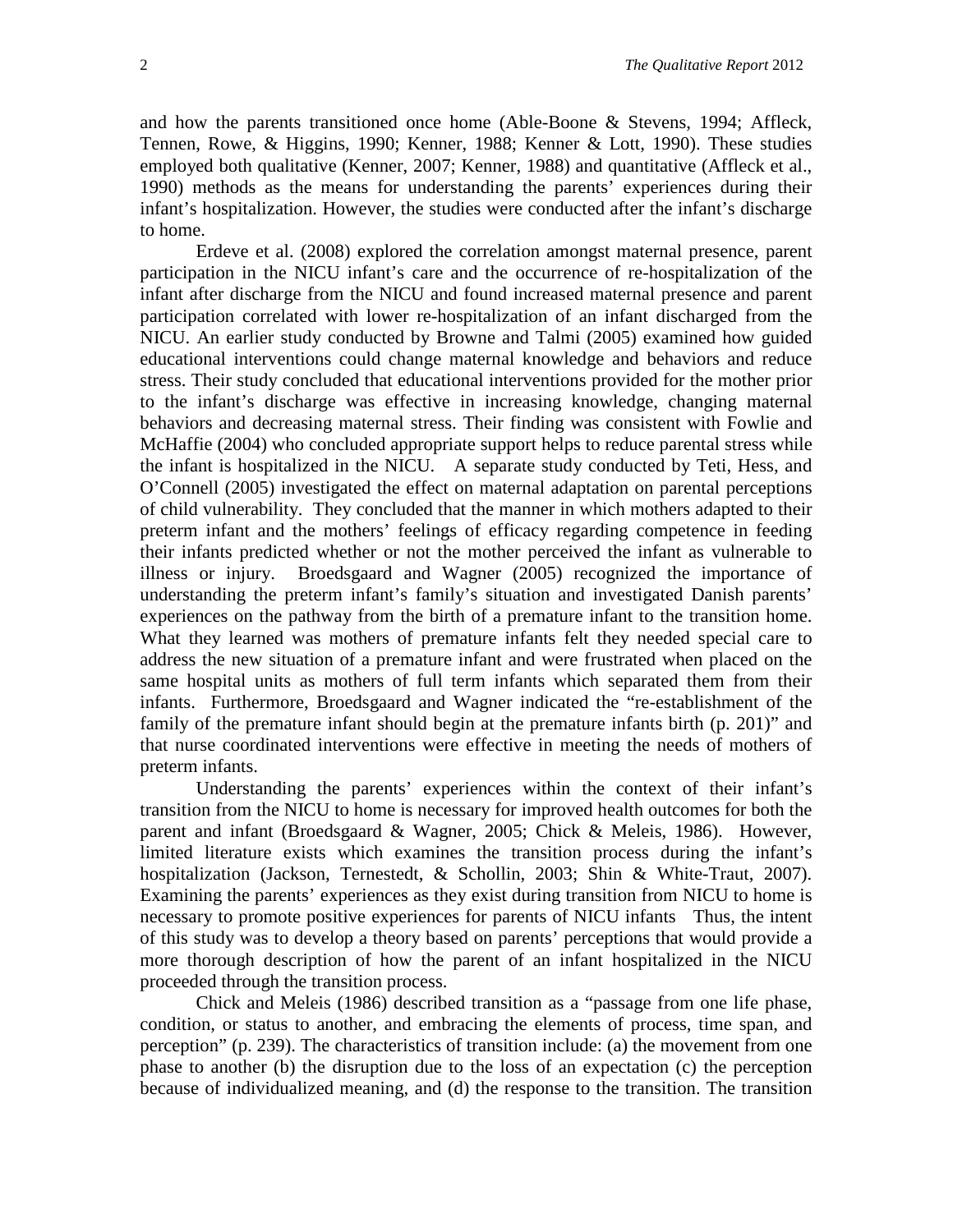and how the parents transitioned once home (Able-Boone & Stevens, 1994; Affleck, Tennen, Rowe, & Higgins, 1990; Kenner, 1988; Kenner & Lott, 1990). These studies employed both qualitative (Kenner, 2007; Kenner, 1988) and quantitative (Affleck et al., 1990) methods as the means for understanding the parents' experiences during their infant's hospitalization. However, the studies were conducted after the infant's discharge to home.

Erdeve et al. (2008) explored the correlation amongst maternal presence, parent participation in the NICU infant's care and the occurrence of re-hospitalization of the infant after discharge from the NICU and found increased maternal presence and parent participation correlated with lower re-hospitalization of an infant discharged from the NICU. An earlier study conducted by Browne and Talmi (2005) examined how guided educational interventions could change maternal knowledge and behaviors and reduce stress. Their study concluded that educational interventions provided for the mother prior to the infant's discharge was effective in increasing knowledge, changing maternal behaviors and decreasing maternal stress. Their finding was consistent with Fowlie and McHaffie (2004) who concluded appropriate support helps to reduce parental stress while the infant is hospitalized in the NICU. A separate study conducted by Teti, Hess, and O'Connell (2005) investigated the effect on maternal adaptation on parental perceptions of child vulnerability. They concluded that the manner in which mothers adapted to their preterm infant and the mothers' feelings of efficacy regarding competence in feeding their infants predicted whether or not the mother perceived the infant as vulnerable to illness or injury. Broedsgaard and Wagner (2005) recognized the importance of understanding the preterm infant's family's situation and investigated Danish parents' experiences on the pathway from the birth of a premature infant to the transition home. What they learned was mothers of premature infants felt they needed special care to address the new situation of a premature infant and were frustrated when placed on the same hospital units as mothers of full term infants which separated them from their infants. Furthermore, Broedsgaard and Wagner indicated the "re-establishment of the family of the premature infant should begin at the premature infants birth (p. 201)" and that nurse coordinated interventions were effective in meeting the needs of mothers of preterm infants.

Understanding the parents' experiences within the context of their infant's transition from the NICU to home is necessary for improved health outcomes for both the parent and infant (Broedsgaard & Wagner, 2005; Chick & Meleis, 1986). However, limited literature exists which examines the transition process during the infant's hospitalization (Jackson, Ternestedt, & Schollin, 2003; Shin & White-Traut, 2007). Examining the parents' experiences as they exist during transition from NICU to home is necessary to promote positive experiences for parents of NICU infants Thus, the intent of this study was to develop a theory based on parents' perceptions that would provide a more thorough description of how the parent of an infant hospitalized in the NICU proceeded through the transition process.

Chick and Meleis (1986) described transition as a "passage from one life phase, condition, or status to another, and embracing the elements of process, time span, and perception" (p. 239). The characteristics of transition include: (a) the movement from one phase to another (b) the disruption due to the loss of an expectation (c) the perception because of individualized meaning, and (d) the response to the transition. The transition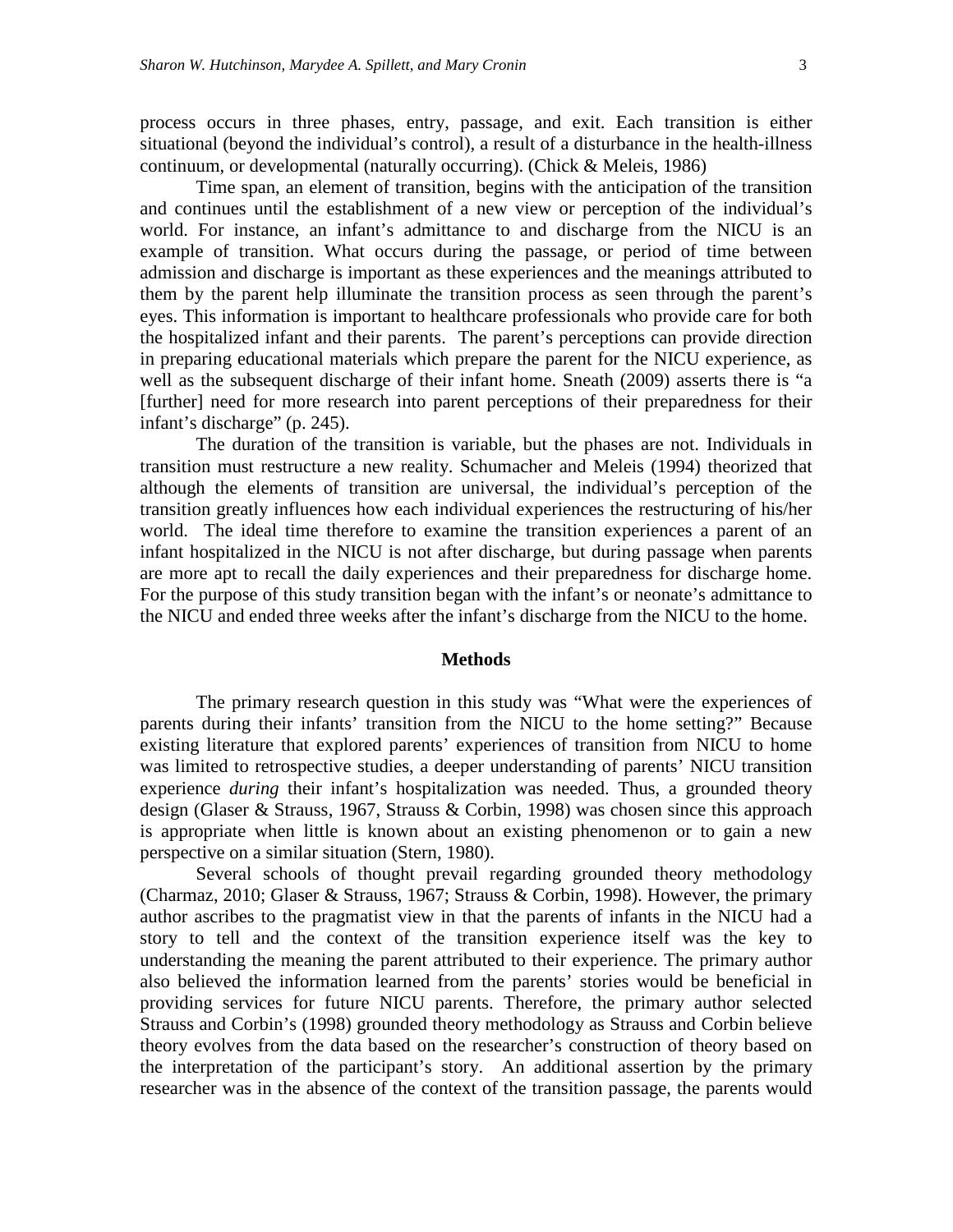process occurs in three phases, entry, passage, and exit. Each transition is either situational (beyond the individual's control), a result of a disturbance in the health-illness continuum, or developmental (naturally occurring). (Chick & Meleis, 1986)

Time span, an element of transition, begins with the anticipation of the transition and continues until the establishment of a new view or perception of the individual's world. For instance, an infant's admittance to and discharge from the NICU is an example of transition. What occurs during the passage, or period of time between admission and discharge is important as these experiences and the meanings attributed to them by the parent help illuminate the transition process as seen through the parent's eyes. This information is important to healthcare professionals who provide care for both the hospitalized infant and their parents. The parent's perceptions can provide direction in preparing educational materials which prepare the parent for the NICU experience, as well as the subsequent discharge of their infant home. Sneath (2009) asserts there is "a [further] need for more research into parent perceptions of their preparedness for their infant's discharge" (p. 245).

The duration of the transition is variable, but the phases are not. Individuals in transition must restructure a new reality. Schumacher and Meleis (1994) theorized that although the elements of transition are universal, the individual's perception of the transition greatly influences how each individual experiences the restructuring of his/her world. The ideal time therefore to examine the transition experiences a parent of an infant hospitalized in the NICU is not after discharge, but during passage when parents are more apt to recall the daily experiences and their preparedness for discharge home. For the purpose of this study transition began with the infant's or neonate's admittance to the NICU and ended three weeks after the infant's discharge from the NICU to the home.

#### **Methods**

The primary research question in this study was "What were the experiences of parents during their infants' transition from the NICU to the home setting?" Because existing literature that explored parents' experiences of transition from NICU to home was limited to retrospective studies, a deeper understanding of parents' NICU transition experience *during* their infant's hospitalization was needed. Thus, a grounded theory design (Glaser & Strauss, 1967, Strauss & Corbin, 1998) was chosen since this approach is appropriate when little is known about an existing phenomenon or to gain a new perspective on a similar situation (Stern, 1980).

Several schools of thought prevail regarding grounded theory methodology (Charmaz, 2010; Glaser & Strauss, 1967; Strauss & Corbin, 1998). However, the primary author ascribes to the pragmatist view in that the parents of infants in the NICU had a story to tell and the context of the transition experience itself was the key to understanding the meaning the parent attributed to their experience. The primary author also believed the information learned from the parents' stories would be beneficial in providing services for future NICU parents. Therefore, the primary author selected Strauss and Corbin's (1998) grounded theory methodology as Strauss and Corbin believe theory evolves from the data based on the researcher's construction of theory based on the interpretation of the participant's story. An additional assertion by the primary researcher was in the absence of the context of the transition passage, the parents would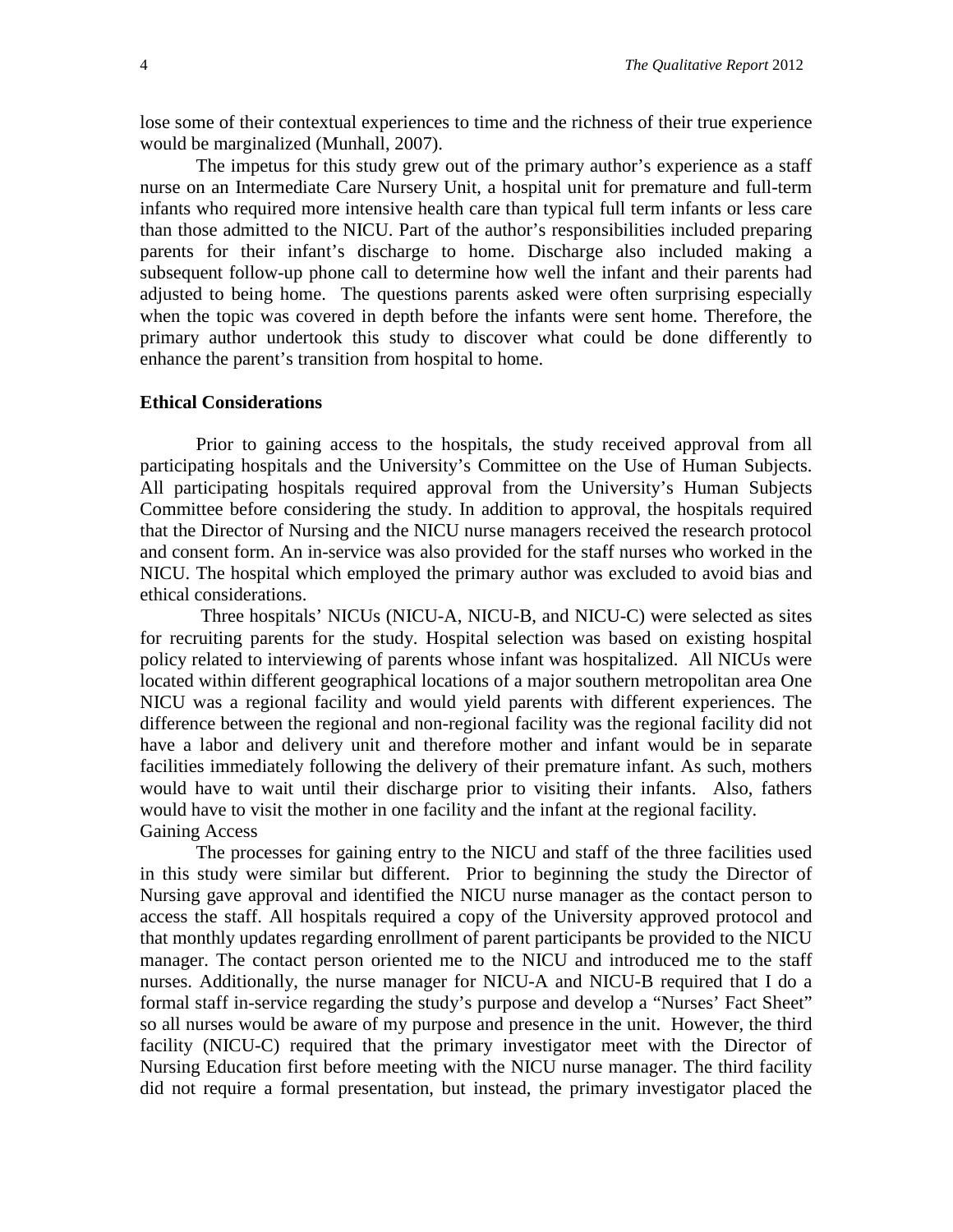lose some of their contextual experiences to time and the richness of their true experience would be marginalized (Munhall, 2007).

The impetus for this study grew out of the primary author's experience as a staff nurse on an Intermediate Care Nursery Unit, a hospital unit for premature and full-term infants who required more intensive health care than typical full term infants or less care than those admitted to the NICU. Part of the author's responsibilities included preparing parents for their infant's discharge to home. Discharge also included making a subsequent follow-up phone call to determine how well the infant and their parents had adjusted to being home. The questions parents asked were often surprising especially when the topic was covered in depth before the infants were sent home. Therefore, the primary author undertook this study to discover what could be done differently to enhance the parent's transition from hospital to home.

#### **Ethical Considerations**

Prior to gaining access to the hospitals, the study received approval from all participating hospitals and the University's Committee on the Use of Human Subjects. All participating hospitals required approval from the University's Human Subjects Committee before considering the study. In addition to approval, the hospitals required that the Director of Nursing and the NICU nurse managers received the research protocol and consent form. An in-service was also provided for the staff nurses who worked in the NICU. The hospital which employed the primary author was excluded to avoid bias and ethical considerations.

Three hospitals' NICUs (NICU-A, NICU-B, and NICU-C) were selected as sites for recruiting parents for the study. Hospital selection was based on existing hospital policy related to interviewing of parents whose infant was hospitalized. All NICUs were located within different geographical locations of a major southern metropolitan area One NICU was a regional facility and would yield parents with different experiences. The difference between the regional and non-regional facility was the regional facility did not have a labor and delivery unit and therefore mother and infant would be in separate facilities immediately following the delivery of their premature infant. As such, mothers would have to wait until their discharge prior to visiting their infants. Also, fathers would have to visit the mother in one facility and the infant at the regional facility. Gaining Access

The processes for gaining entry to the NICU and staff of the three facilities used in this study were similar but different. Prior to beginning the study the Director of Nursing gave approval and identified the NICU nurse manager as the contact person to access the staff. All hospitals required a copy of the University approved protocol and that monthly updates regarding enrollment of parent participants be provided to the NICU manager. The contact person oriented me to the NICU and introduced me to the staff nurses. Additionally, the nurse manager for NICU-A and NICU-B required that I do a formal staff in-service regarding the study's purpose and develop a "Nurses' Fact Sheet" so all nurses would be aware of my purpose and presence in the unit. However, the third facility (NICU-C) required that the primary investigator meet with the Director of Nursing Education first before meeting with the NICU nurse manager. The third facility did not require a formal presentation, but instead, the primary investigator placed the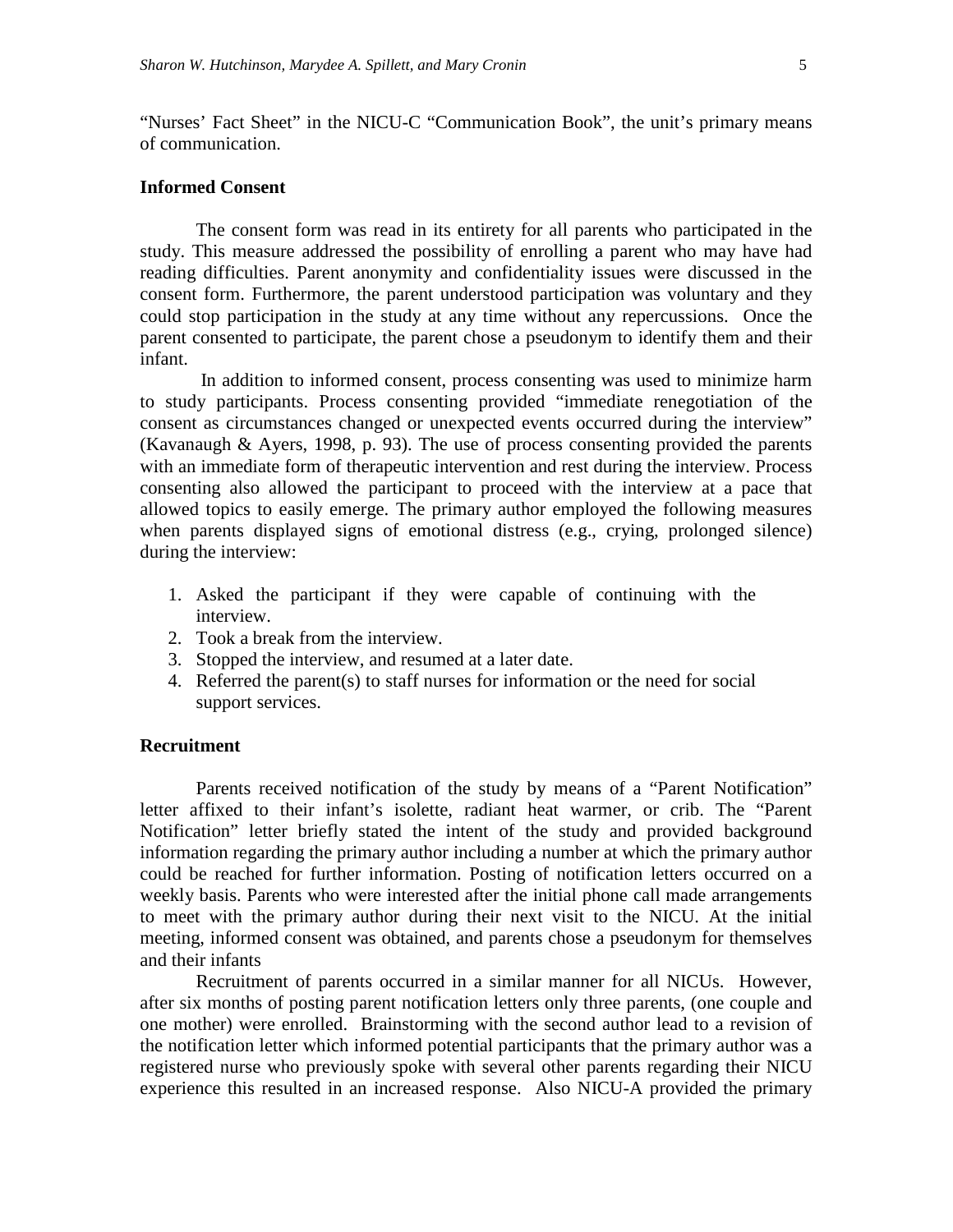"Nurses' Fact Sheet" in the NICU-C "Communication Book", the unit's primary means of communication.

#### **Informed Consent**

The consent form was read in its entirety for all parents who participated in the study. This measure addressed the possibility of enrolling a parent who may have had reading difficulties. Parent anonymity and confidentiality issues were discussed in the consent form. Furthermore, the parent understood participation was voluntary and they could stop participation in the study at any time without any repercussions. Once the parent consented to participate, the parent chose a pseudonym to identify them and their infant.

In addition to informed consent, process consenting was used to minimize harm to study participants. Process consenting provided "immediate renegotiation of the consent as circumstances changed or unexpected events occurred during the interview" (Kavanaugh & Ayers, 1998, p. 93). The use of process consenting provided the parents with an immediate form of therapeutic intervention and rest during the interview. Process consenting also allowed the participant to proceed with the interview at a pace that allowed topics to easily emerge. The primary author employed the following measures when parents displayed signs of emotional distress (e.g., crying, prolonged silence) during the interview:

- 1. Asked the participant if they were capable of continuing with the interview.
- 2. Took a break from the interview.
- 3. Stopped the interview, and resumed at a later date.
- 4. Referred the parent(s) to staff nurses for information or the need for social support services.

## **Recruitment**

Parents received notification of the study by means of a "Parent Notification" letter affixed to their infant's isolette, radiant heat warmer, or crib. The "Parent Notification" letter briefly stated the intent of the study and provided background information regarding the primary author including a number at which the primary author could be reached for further information. Posting of notification letters occurred on a weekly basis. Parents who were interested after the initial phone call made arrangements to meet with the primary author during their next visit to the NICU. At the initial meeting, informed consent was obtained, and parents chose a pseudonym for themselves and their infants

Recruitment of parents occurred in a similar manner for all NICUs. However, after six months of posting parent notification letters only three parents, (one couple and one mother) were enrolled. Brainstorming with the second author lead to a revision of the notification letter which informed potential participants that the primary author was a registered nurse who previously spoke with several other parents regarding their NICU experience this resulted in an increased response. Also NICU-A provided the primary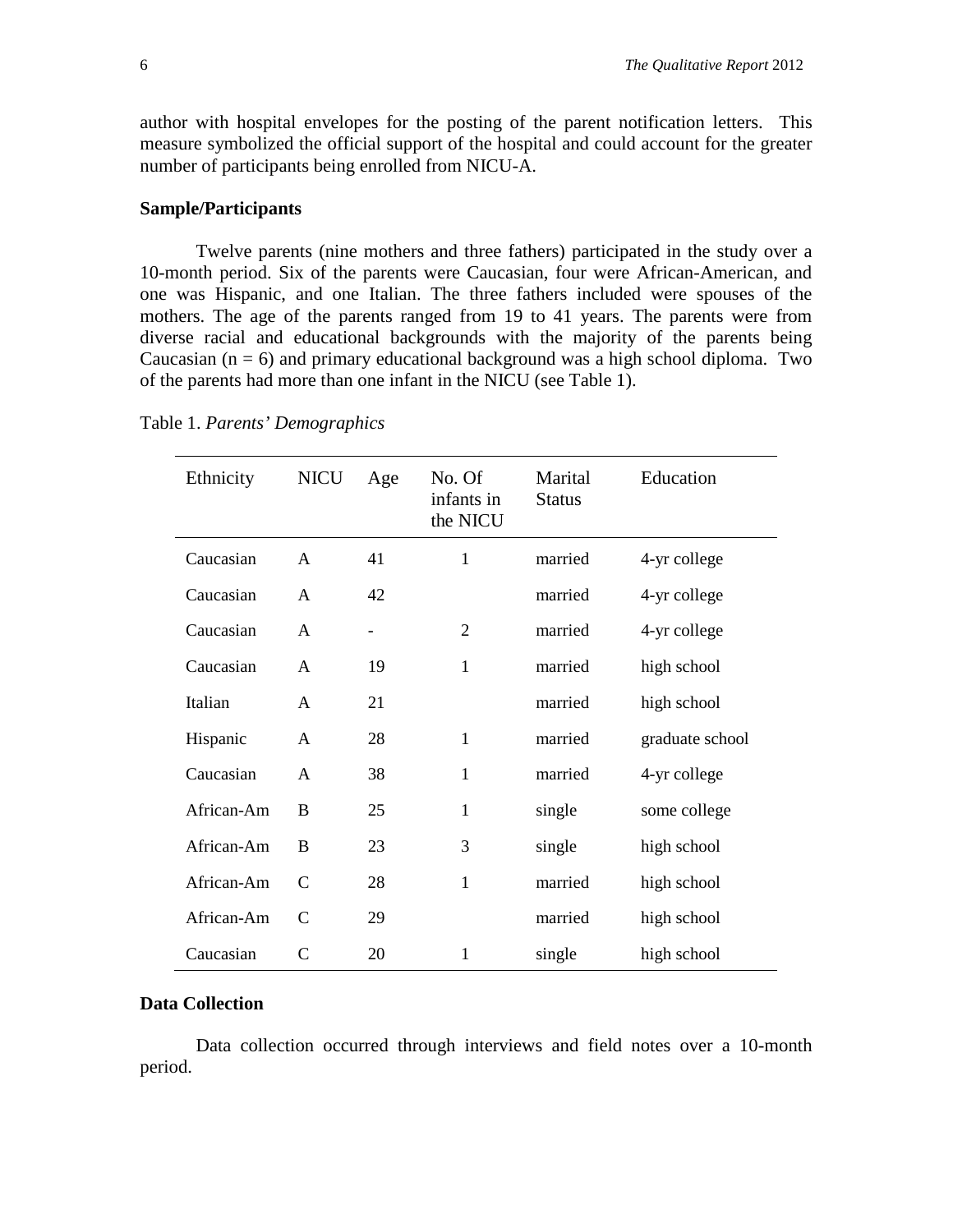author with hospital envelopes for the posting of the parent notification letters. This measure symbolized the official support of the hospital and could account for the greater number of participants being enrolled from NICU-A.

#### **Sample/Participants**

Twelve parents (nine mothers and three fathers) participated in the study over a 10-month period. Six of the parents were Caucasian, four were African-American, and one was Hispanic, and one Italian. The three fathers included were spouses of the mothers. The age of the parents ranged from 19 to 41 years. The parents were from diverse racial and educational backgrounds with the majority of the parents being Caucasian  $(n = 6)$  and primary educational background was a high school diploma. Two of the parents had more than one infant in the NICU (see Table 1).

| Ethnicity  | <b>NICU</b>   | Age | No. Of<br>infants in<br>the NICU | Marital<br><b>Status</b> | Education       |
|------------|---------------|-----|----------------------------------|--------------------------|-----------------|
| Caucasian  | A             | 41  | 1                                | married                  | 4-yr college    |
| Caucasian  | A             | 42  |                                  | married                  | 4-yr college    |
| Caucasian  | A             | -   | 2                                | married                  | 4-yr college    |
| Caucasian  | A             | 19  | 1                                | married                  | high school     |
| Italian    | A             | 21  |                                  | married                  | high school     |
| Hispanic   | A             | 28  | $\mathbf{1}$                     | married                  | graduate school |
| Caucasian  | A             | 38  | $\mathbf{1}$                     | married                  | 4-yr college    |
| African-Am | B             | 25  | $\mathbf{1}$                     | single                   | some college    |
| African-Am | B             | 23  | 3                                | single                   | high school     |
| African-Am | $\mathcal{C}$ | 28  | $\mathbf{1}$                     | married                  | high school     |
| African-Am | $\mathbf C$   | 29  |                                  | married                  | high school     |
| Caucasian  | $\mathcal{C}$ | 20  | 1                                | single                   | high school     |

Table 1. *Parents' Demographics*

### **Data Collection**

Data collection occurred through interviews and field notes over a 10-month period.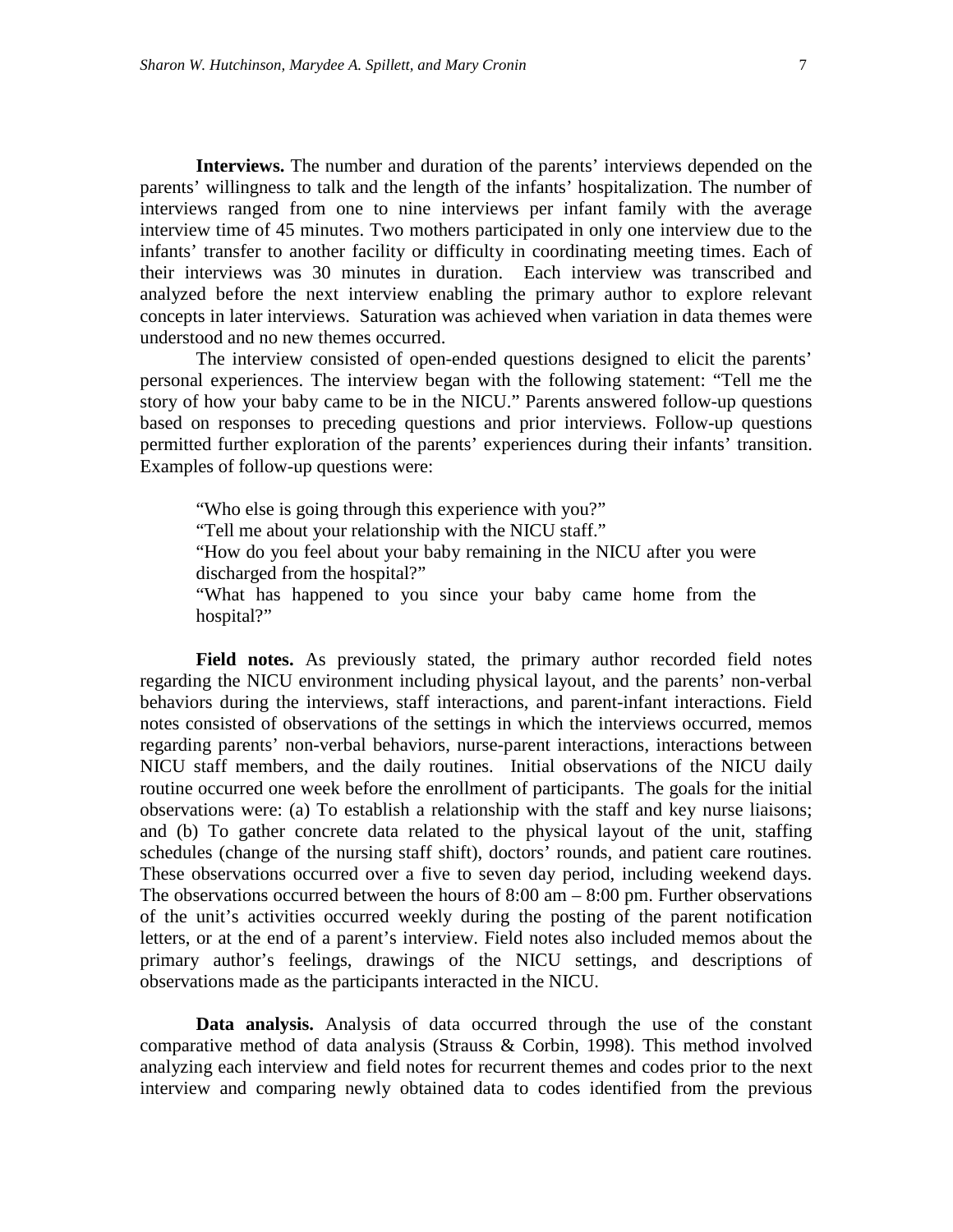**Interviews.** The number and duration of the parents' interviews depended on the parents' willingness to talk and the length of the infants' hospitalization. The number of interviews ranged from one to nine interviews per infant family with the average interview time of 45 minutes. Two mothers participated in only one interview due to the infants' transfer to another facility or difficulty in coordinating meeting times. Each of their interviews was 30 minutes in duration. Each interview was transcribed and analyzed before the next interview enabling the primary author to explore relevant concepts in later interviews. Saturation was achieved when variation in data themes were understood and no new themes occurred.

The interview consisted of open-ended questions designed to elicit the parents' personal experiences. The interview began with the following statement: "Tell me the story of how your baby came to be in the NICU." Parents answered follow-up questions based on responses to preceding questions and prior interviews. Follow-up questions permitted further exploration of the parents' experiences during their infants' transition. Examples of follow-up questions were:

"Who else is going through this experience with you?" "Tell me about your relationship with the NICU staff." "How do you feel about your baby remaining in the NICU after you were

discharged from the hospital?"

"What has happened to you since your baby came home from the hospital?"

Field notes. As previously stated, the primary author recorded field notes regarding the NICU environment including physical layout, and the parents' non-verbal behaviors during the interviews, staff interactions, and parent-infant interactions. Field notes consisted of observations of the settings in which the interviews occurred, memos regarding parents' non-verbal behaviors, nurse-parent interactions, interactions between NICU staff members, and the daily routines. Initial observations of the NICU daily routine occurred one week before the enrollment of participants. The goals for the initial observations were: (a) To establish a relationship with the staff and key nurse liaisons; and (b) To gather concrete data related to the physical layout of the unit, staffing schedules (change of the nursing staff shift), doctors' rounds, and patient care routines. These observations occurred over a five to seven day period, including weekend days. The observations occurred between the hours of 8:00 am – 8:00 pm. Further observations of the unit's activities occurred weekly during the posting of the parent notification letters, or at the end of a parent's interview. Field notes also included memos about the primary author's feelings, drawings of the NICU settings, and descriptions of observations made as the participants interacted in the NICU.

**Data analysis.** Analysis of data occurred through the use of the constant comparative method of data analysis (Strauss & Corbin, 1998). This method involved analyzing each interview and field notes for recurrent themes and codes prior to the next interview and comparing newly obtained data to codes identified from the previous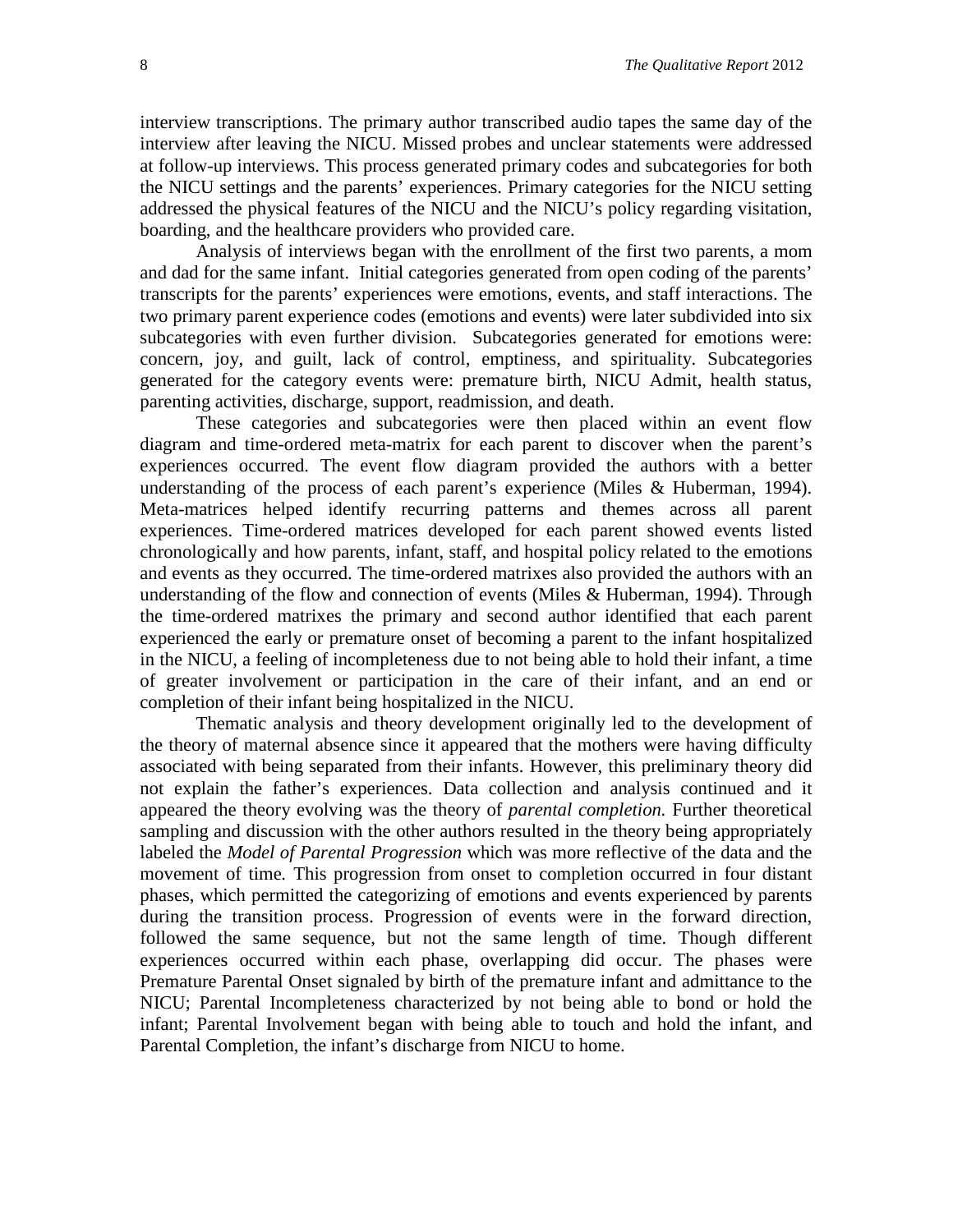interview transcriptions. The primary author transcribed audio tapes the same day of the interview after leaving the NICU. Missed probes and unclear statements were addressed at follow-up interviews. This process generated primary codes and subcategories for both the NICU settings and the parents' experiences. Primary categories for the NICU setting addressed the physical features of the NICU and the NICU's policy regarding visitation, boarding, and the healthcare providers who provided care.

Analysis of interviews began with the enrollment of the first two parents, a mom and dad for the same infant. Initial categories generated from open coding of the parents' transcripts for the parents' experiences were emotions, events, and staff interactions. The two primary parent experience codes (emotions and events) were later subdivided into six subcategories with even further division. Subcategories generated for emotions were: concern, joy, and guilt, lack of control, emptiness, and spirituality. Subcategories generated for the category events were: premature birth, NICU Admit, health status, parenting activities, discharge, support, readmission, and death.

These categories and subcategories were then placed within an event flow diagram and time-ordered meta-matrix for each parent to discover when the parent's experiences occurred. The event flow diagram provided the authors with a better understanding of the process of each parent's experience (Miles & Huberman, 1994). Meta-matrices helped identify recurring patterns and themes across all parent experiences. Time-ordered matrices developed for each parent showed events listed chronologically and how parents, infant, staff, and hospital policy related to the emotions and events as they occurred. The time-ordered matrixes also provided the authors with an understanding of the flow and connection of events (Miles & Huberman, 1994). Through the time-ordered matrixes the primary and second author identified that each parent experienced the early or premature onset of becoming a parent to the infant hospitalized in the NICU, a feeling of incompleteness due to not being able to hold their infant, a time of greater involvement or participation in the care of their infant, and an end or completion of their infant being hospitalized in the NICU.

Thematic analysis and theory development originally led to the development of the theory of maternal absence since it appeared that the mothers were having difficulty associated with being separated from their infants. However, this preliminary theory did not explain the father's experiences. Data collection and analysis continued and it appeared the theory evolving was the theory of *parental completion.* Further theoretical sampling and discussion with the other authors resulted in the theory being appropriately labeled the *Model of Parental Progression* which was more reflective of the data and the movement of time*.* This progression from onset to completion occurred in four distant phases, which permitted the categorizing of emotions and events experienced by parents during the transition process. Progression of events were in the forward direction, followed the same sequence, but not the same length of time. Though different experiences occurred within each phase, overlapping did occur. The phases were Premature Parental Onset signaled by birth of the premature infant and admittance to the NICU; Parental Incompleteness characterized by not being able to bond or hold the infant; Parental Involvement began with being able to touch and hold the infant, and Parental Completion, the infant's discharge from NICU to home.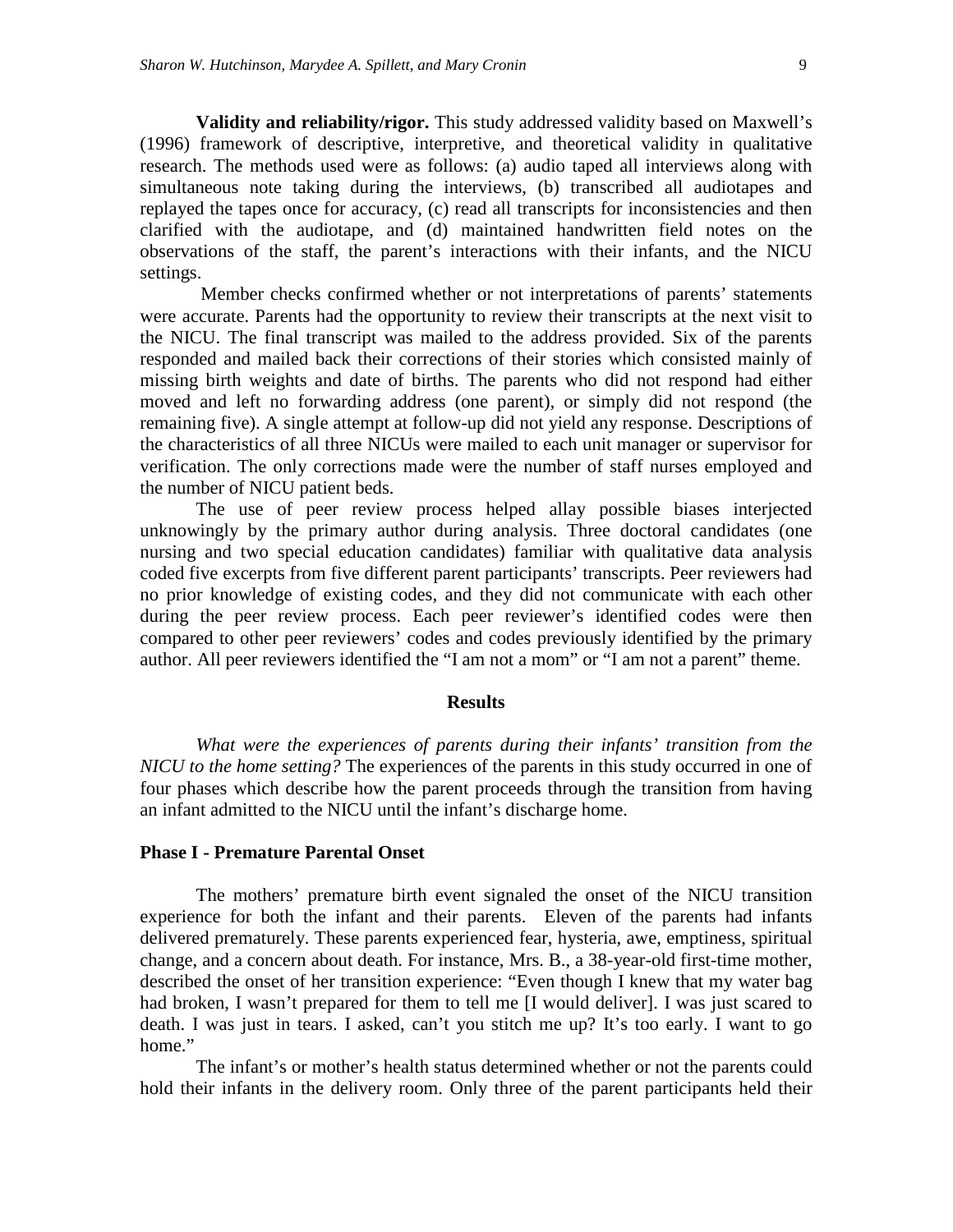**Validity and reliability/rigor.** This study addressed validity based on Maxwell's (1996) framework of descriptive, interpretive, and theoretical validity in qualitative research. The methods used were as follows: (a) audio taped all interviews along with simultaneous note taking during the interviews, (b) transcribed all audiotapes and replayed the tapes once for accuracy, (c) read all transcripts for inconsistencies and then clarified with the audiotape, and (d) maintained handwritten field notes on the observations of the staff, the parent's interactions with their infants, and the NICU settings.

Member checks confirmed whether or not interpretations of parents' statements were accurate. Parents had the opportunity to review their transcripts at the next visit to the NICU. The final transcript was mailed to the address provided. Six of the parents responded and mailed back their corrections of their stories which consisted mainly of missing birth weights and date of births. The parents who did not respond had either moved and left no forwarding address (one parent), or simply did not respond (the remaining five). A single attempt at follow-up did not yield any response. Descriptions of the characteristics of all three NICUs were mailed to each unit manager or supervisor for verification. The only corrections made were the number of staff nurses employed and the number of NICU patient beds.

The use of peer review process helped allay possible biases interjected unknowingly by the primary author during analysis. Three doctoral candidates (one nursing and two special education candidates) familiar with qualitative data analysis coded five excerpts from five different parent participants' transcripts. Peer reviewers had no prior knowledge of existing codes, and they did not communicate with each other during the peer review process. Each peer reviewer's identified codes were then compared to other peer reviewers' codes and codes previously identified by the primary author. All peer reviewers identified the "I am not a mom" or "I am not a parent" theme.

#### **Results**

*What were the experiences of parents during their infants' transition from the NICU to the home setting?* The experiences of the parents in this study occurred in one of four phases which describe how the parent proceeds through the transition from having an infant admitted to the NICU until the infant's discharge home.

#### **Phase I - Premature Parental Onset**

The mothers' premature birth event signaled the onset of the NICU transition experience for both the infant and their parents. Eleven of the parents had infants delivered prematurely. These parents experienced fear, hysteria, awe, emptiness, spiritual change, and a concern about death. For instance, Mrs. B., a 38-year-old first-time mother, described the onset of her transition experience: "Even though I knew that my water bag had broken, I wasn't prepared for them to tell me [I would deliver]. I was just scared to death. I was just in tears. I asked, can't you stitch me up? It's too early. I want to go home."

The infant's or mother's health status determined whether or not the parents could hold their infants in the delivery room. Only three of the parent participants held their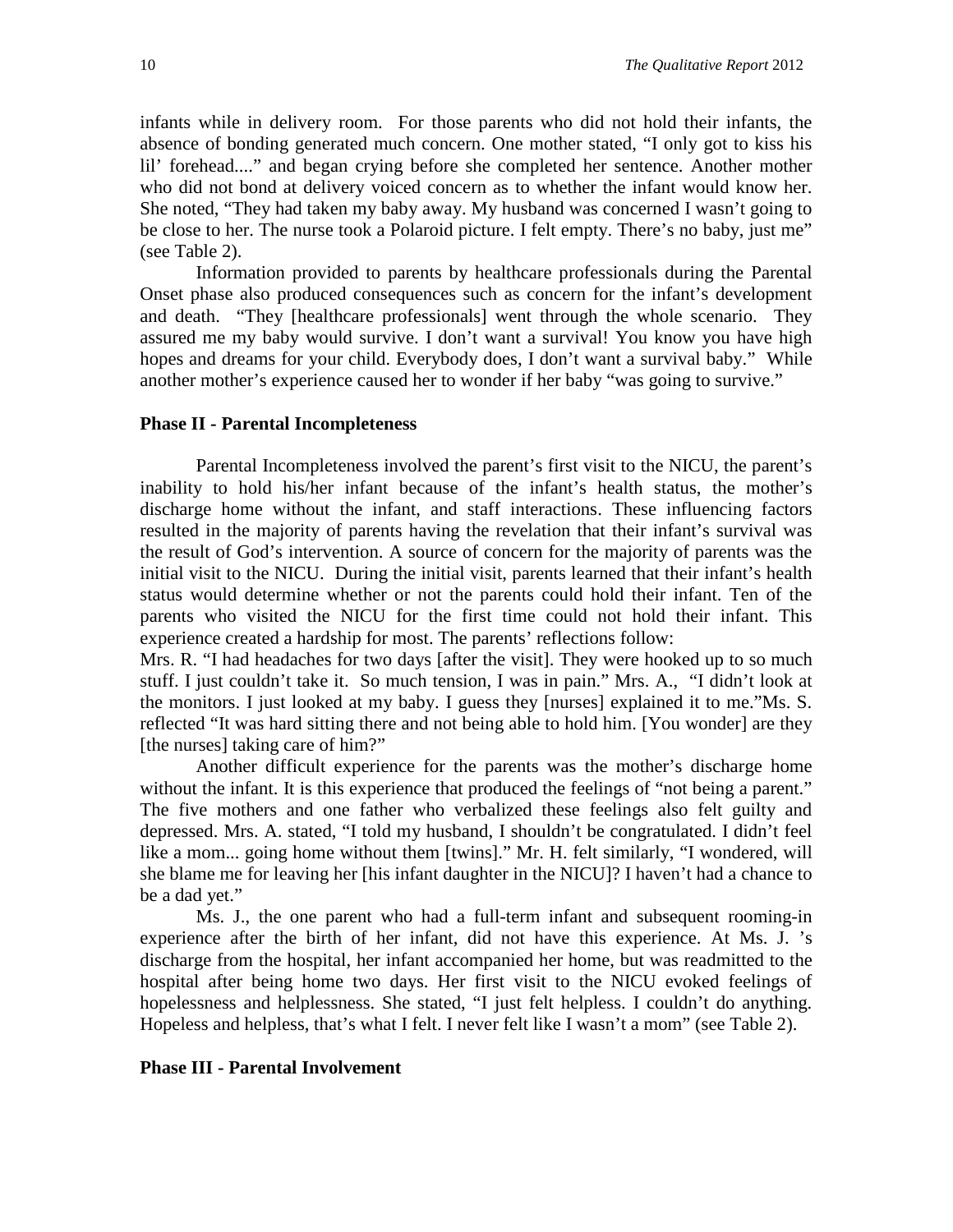infants while in delivery room. For those parents who did not hold their infants, the absence of bonding generated much concern. One mother stated, "I only got to kiss his lil' forehead...." and began crying before she completed her sentence. Another mother who did not bond at delivery voiced concern as to whether the infant would know her. She noted, "They had taken my baby away. My husband was concerned I wasn't going to be close to her. The nurse took a Polaroid picture. I felt empty. There's no baby, just me" (see Table 2).

Information provided to parents by healthcare professionals during the Parental Onset phase also produced consequences such as concern for the infant's development and death. "They [healthcare professionals] went through the whole scenario. They assured me my baby would survive. I don't want a survival! You know you have high hopes and dreams for your child. Everybody does, I don't want a survival baby." While another mother's experience caused her to wonder if her baby "was going to survive."

#### **Phase II - Parental Incompleteness**

Parental Incompleteness involved the parent's first visit to the NICU, the parent's inability to hold his/her infant because of the infant's health status, the mother's discharge home without the infant, and staff interactions. These influencing factors resulted in the majority of parents having the revelation that their infant's survival was the result of God's intervention. A source of concern for the majority of parents was the initial visit to the NICU. During the initial visit, parents learned that their infant's health status would determine whether or not the parents could hold their infant. Ten of the parents who visited the NICU for the first time could not hold their infant. This experience created a hardship for most. The parents' reflections follow:

Mrs. R. "I had headaches for two days [after the visit]. They were hooked up to so much stuff. I just couldn't take it. So much tension, I was in pain." Mrs. A., "I didn't look at the monitors. I just looked at my baby. I guess they [nurses] explained it to me."Ms. S. reflected "It was hard sitting there and not being able to hold him. [You wonder] are they [the nurses] taking care of him?"

Another difficult experience for the parents was the mother's discharge home without the infant. It is this experience that produced the feelings of "not being a parent." The five mothers and one father who verbalized these feelings also felt guilty and depressed. Mrs. A. stated, "I told my husband, I shouldn't be congratulated. I didn't feel like a mom... going home without them [twins]." Mr. H. felt similarly, "I wondered, will she blame me for leaving her [his infant daughter in the NICU]? I haven't had a chance to be a dad yet."

Ms. J., the one parent who had a full-term infant and subsequent rooming-in experience after the birth of her infant, did not have this experience. At Ms. J. 's discharge from the hospital, her infant accompanied her home, but was readmitted to the hospital after being home two days. Her first visit to the NICU evoked feelings of hopelessness and helplessness. She stated, "I just felt helpless. I couldn't do anything. Hopeless and helpless, that's what I felt. I never felt like I wasn't a mom" (see Table 2).

#### **Phase III - Parental Involvement**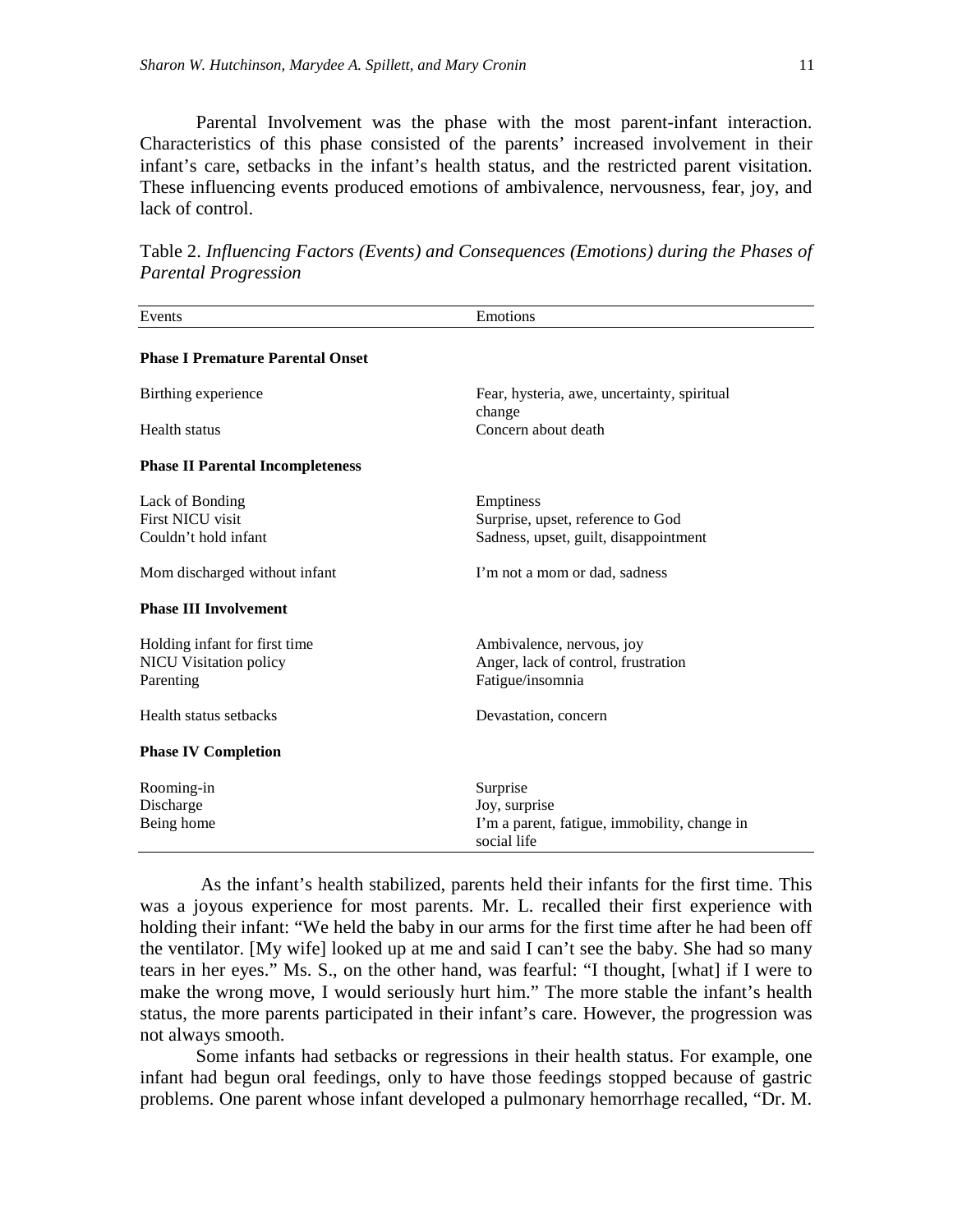Parental Involvement was the phase with the most parent-infant interaction. Characteristics of this phase consisted of the parents' increased involvement in their infant's care, setbacks in the infant's health status, and the restricted parent visitation. These influencing events produced emotions of ambivalence, nervousness, fear, joy, and lack of control.

Table 2. *Influencing Factors (Events) and Consequences (Emotions) during the Phases of Parental Progression*

| Events                                  | Emotions                                                    |  |  |
|-----------------------------------------|-------------------------------------------------------------|--|--|
|                                         |                                                             |  |  |
| <b>Phase I Premature Parental Onset</b> |                                                             |  |  |
| Birthing experience                     | Fear, hysteria, awe, uncertainty, spiritual<br>change       |  |  |
| <b>Health status</b>                    | Concern about death                                         |  |  |
| <b>Phase II Parental Incompleteness</b> |                                                             |  |  |
| Lack of Bonding                         | Emptiness                                                   |  |  |
| First NICU visit                        | Surprise, upset, reference to God                           |  |  |
| Couldn't hold infant                    | Sadness, upset, guilt, disappointment                       |  |  |
| Mom discharged without infant           | I'm not a mom or dad, sadness                               |  |  |
| <b>Phase III Involvement</b>            |                                                             |  |  |
| Holding infant for first time           | Ambivalence, nervous, joy                                   |  |  |
| <b>NICU Visitation policy</b>           | Anger, lack of control, frustration                         |  |  |
| Parenting                               | Fatigue/insomnia                                            |  |  |
| Health status setbacks                  | Devastation, concern                                        |  |  |
| <b>Phase IV Completion</b>              |                                                             |  |  |
| Rooming-in                              | Surprise                                                    |  |  |
| Discharge                               | Joy, surprise                                               |  |  |
| Being home                              | I'm a parent, fatigue, immobility, change in<br>social life |  |  |

As the infant's health stabilized, parents held their infants for the first time. This was a joyous experience for most parents. Mr. L. recalled their first experience with holding their infant: "We held the baby in our arms for the first time after he had been off the ventilator. [My wife] looked up at me and said I can't see the baby. She had so many tears in her eyes." Ms. S., on the other hand, was fearful: "I thought, [what] if I were to make the wrong move, I would seriously hurt him." The more stable the infant's health status, the more parents participated in their infant's care. However, the progression was not always smooth.

Some infants had setbacks or regressions in their health status. For example, one infant had begun oral feedings, only to have those feedings stopped because of gastric problems. One parent whose infant developed a pulmonary hemorrhage recalled, "Dr. M.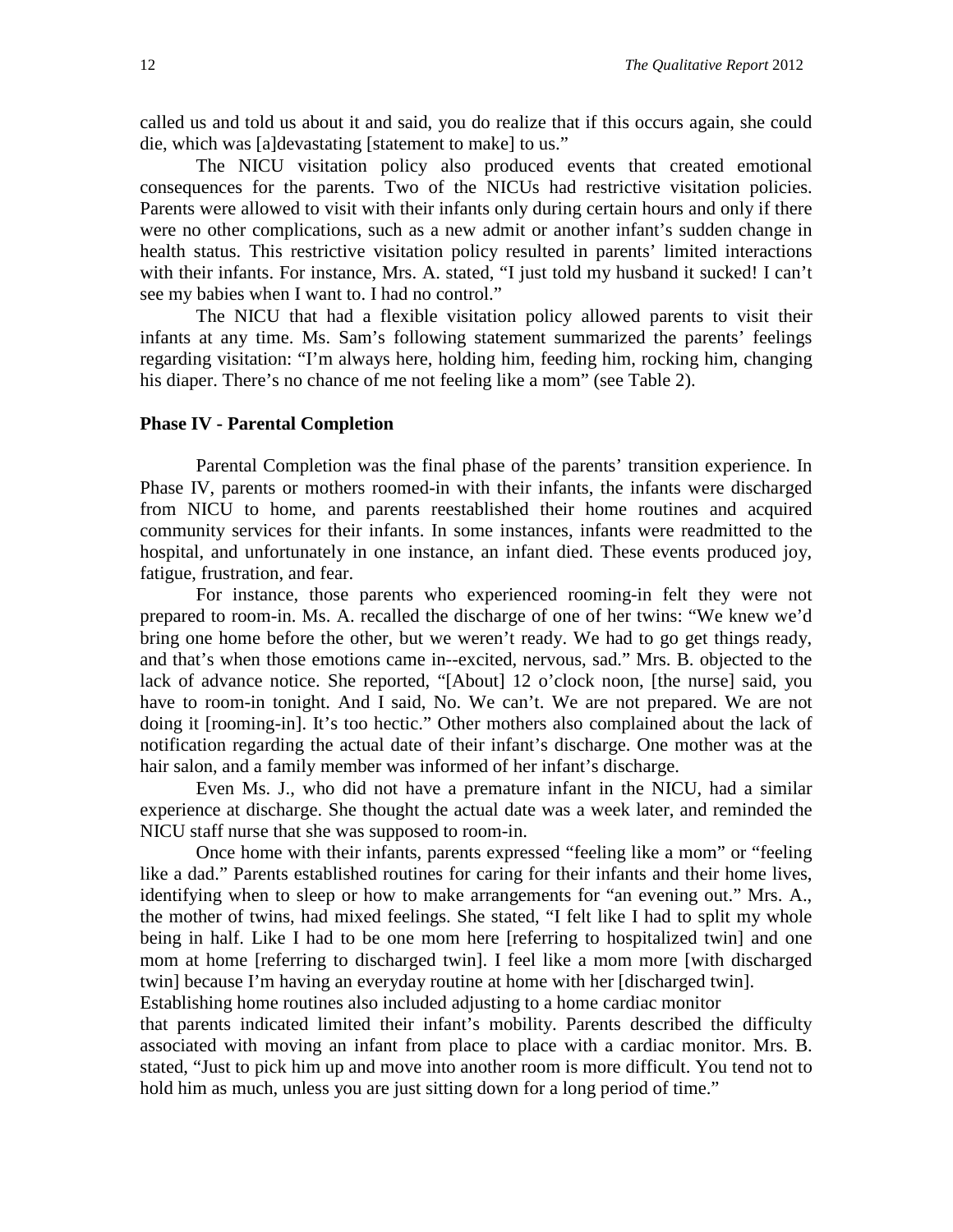called us and told us about it and said, you do realize that if this occurs again, she could die, which was [a]devastating [statement to make] to us."

The NICU visitation policy also produced events that created emotional consequences for the parents. Two of the NICUs had restrictive visitation policies. Parents were allowed to visit with their infants only during certain hours and only if there were no other complications, such as a new admit or another infant's sudden change in health status. This restrictive visitation policy resulted in parents' limited interactions with their infants. For instance, Mrs. A. stated, "I just told my husband it sucked! I can't see my babies when I want to. I had no control."

The NICU that had a flexible visitation policy allowed parents to visit their infants at any time. Ms. Sam's following statement summarized the parents' feelings regarding visitation: "I'm always here, holding him, feeding him, rocking him, changing his diaper. There's no chance of me not feeling like a mom" (see Table 2).

### **Phase IV - Parental Completion**

Parental Completion was the final phase of the parents' transition experience. In Phase IV, parents or mothers roomed-in with their infants, the infants were discharged from NICU to home, and parents reestablished their home routines and acquired community services for their infants. In some instances, infants were readmitted to the hospital, and unfortunately in one instance, an infant died. These events produced joy, fatigue, frustration, and fear.

For instance, those parents who experienced rooming-in felt they were not prepared to room-in. Ms. A. recalled the discharge of one of her twins: "We knew we'd bring one home before the other, but we weren't ready. We had to go get things ready, and that's when those emotions came in--excited, nervous, sad." Mrs. B. objected to the lack of advance notice. She reported, "[About] 12 o'clock noon, [the nurse] said, you have to room-in tonight. And I said, No. We can't. We are not prepared. We are not doing it [rooming-in]. It's too hectic." Other mothers also complained about the lack of notification regarding the actual date of their infant's discharge. One mother was at the hair salon, and a family member was informed of her infant's discharge.

Even Ms. J., who did not have a premature infant in the NICU, had a similar experience at discharge. She thought the actual date was a week later, and reminded the NICU staff nurse that she was supposed to room-in.

Once home with their infants, parents expressed "feeling like a mom" or "feeling like a dad." Parents established routines for caring for their infants and their home lives, identifying when to sleep or how to make arrangements for "an evening out." Mrs. A., the mother of twins, had mixed feelings. She stated, "I felt like I had to split my whole being in half. Like I had to be one mom here [referring to hospitalized twin] and one mom at home [referring to discharged twin]. I feel like a mom more [with discharged twin] because I'm having an everyday routine at home with her [discharged twin].

Establishing home routines also included adjusting to a home cardiac monitor

that parents indicated limited their infant's mobility. Parents described the difficulty associated with moving an infant from place to place with a cardiac monitor. Mrs. B. stated, "Just to pick him up and move into another room is more difficult. You tend not to hold him as much, unless you are just sitting down for a long period of time."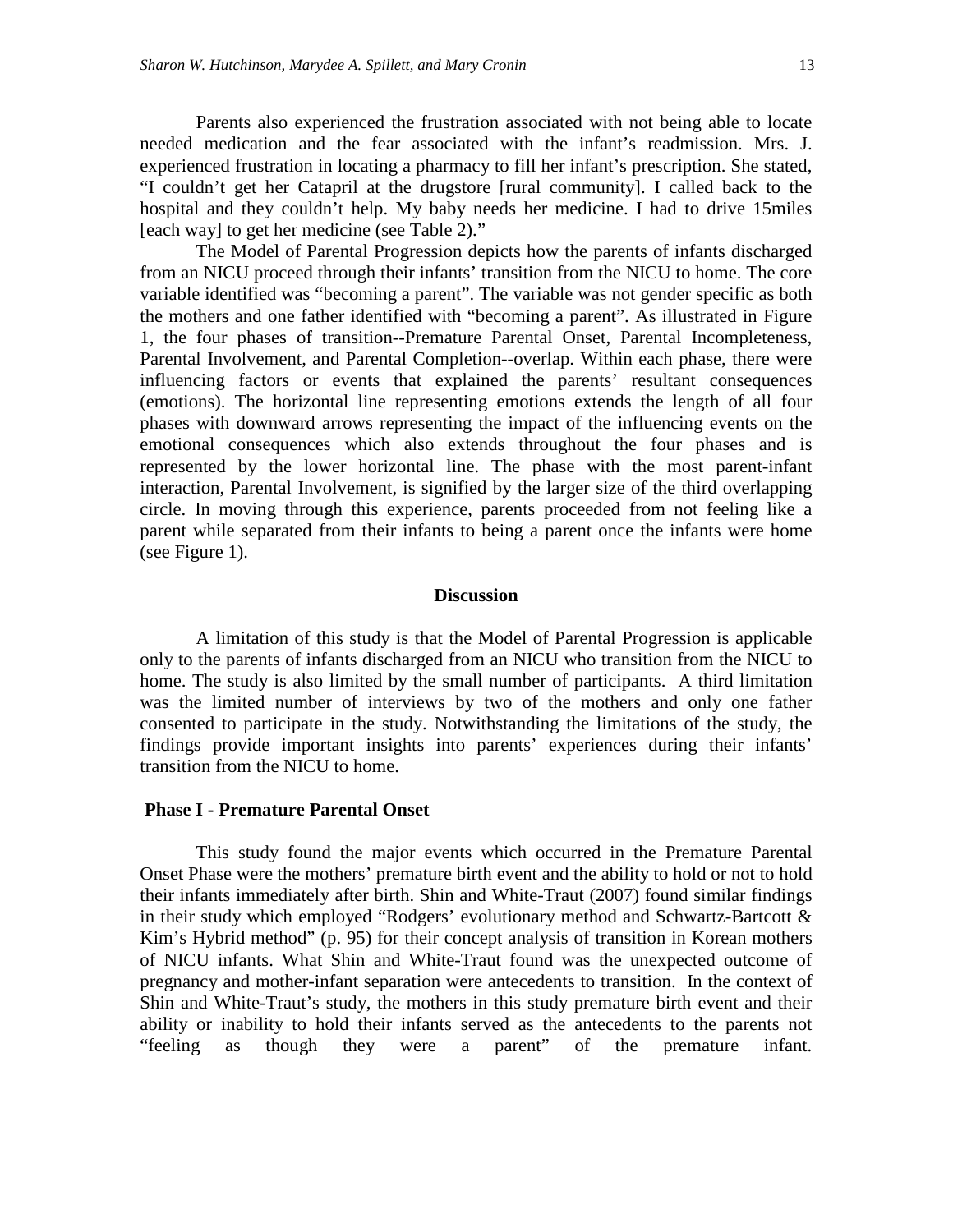Parents also experienced the frustration associated with not being able to locate needed medication and the fear associated with the infant's readmission. Mrs. J. experienced frustration in locating a pharmacy to fill her infant's prescription. She stated, "I couldn't get her Catapril at the drugstore [rural community]. I called back to the hospital and they couldn't help. My baby needs her medicine. I had to drive 15miles [each way] to get her medicine (see Table 2)."

The Model of Parental Progression depicts how the parents of infants discharged from an NICU proceed through their infants' transition from the NICU to home. The core variable identified was "becoming a parent". The variable was not gender specific as both the mothers and one father identified with "becoming a parent". As illustrated in Figure 1, the four phases of transition--Premature Parental Onset, Parental Incompleteness, Parental Involvement, and Parental Completion--overlap. Within each phase, there were influencing factors or events that explained the parents' resultant consequences (emotions). The horizontal line representing emotions extends the length of all four phases with downward arrows representing the impact of the influencing events on the emotional consequences which also extends throughout the four phases and is represented by the lower horizontal line. The phase with the most parent-infant interaction, Parental Involvement, is signified by the larger size of the third overlapping circle. In moving through this experience, parents proceeded from not feeling like a parent while separated from their infants to being a parent once the infants were home (see Figure 1).

#### **Discussion**

A limitation of this study is that the Model of Parental Progression is applicable only to the parents of infants discharged from an NICU who transition from the NICU to home. The study is also limited by the small number of participants. A third limitation was the limited number of interviews by two of the mothers and only one father consented to participate in the study. Notwithstanding the limitations of the study, the findings provide important insights into parents' experiences during their infants' transition from the NICU to home.

#### **Phase I - Premature Parental Onset**

This study found the major events which occurred in the Premature Parental Onset Phase were the mothers' premature birth event and the ability to hold or not to hold their infants immediately after birth. Shin and White-Traut (2007) found similar findings in their study which employed "Rodgers' evolutionary method and Schwartz-Bartcott & Kim's Hybrid method" (p. 95) for their concept analysis of transition in Korean mothers of NICU infants. What Shin and White-Traut found was the unexpected outcome of pregnancy and mother-infant separation were antecedents to transition. In the context of Shin and White-Traut's study, the mothers in this study premature birth event and their ability or inability to hold their infants served as the antecedents to the parents not "feeling as though they were a parent" of the premature infant.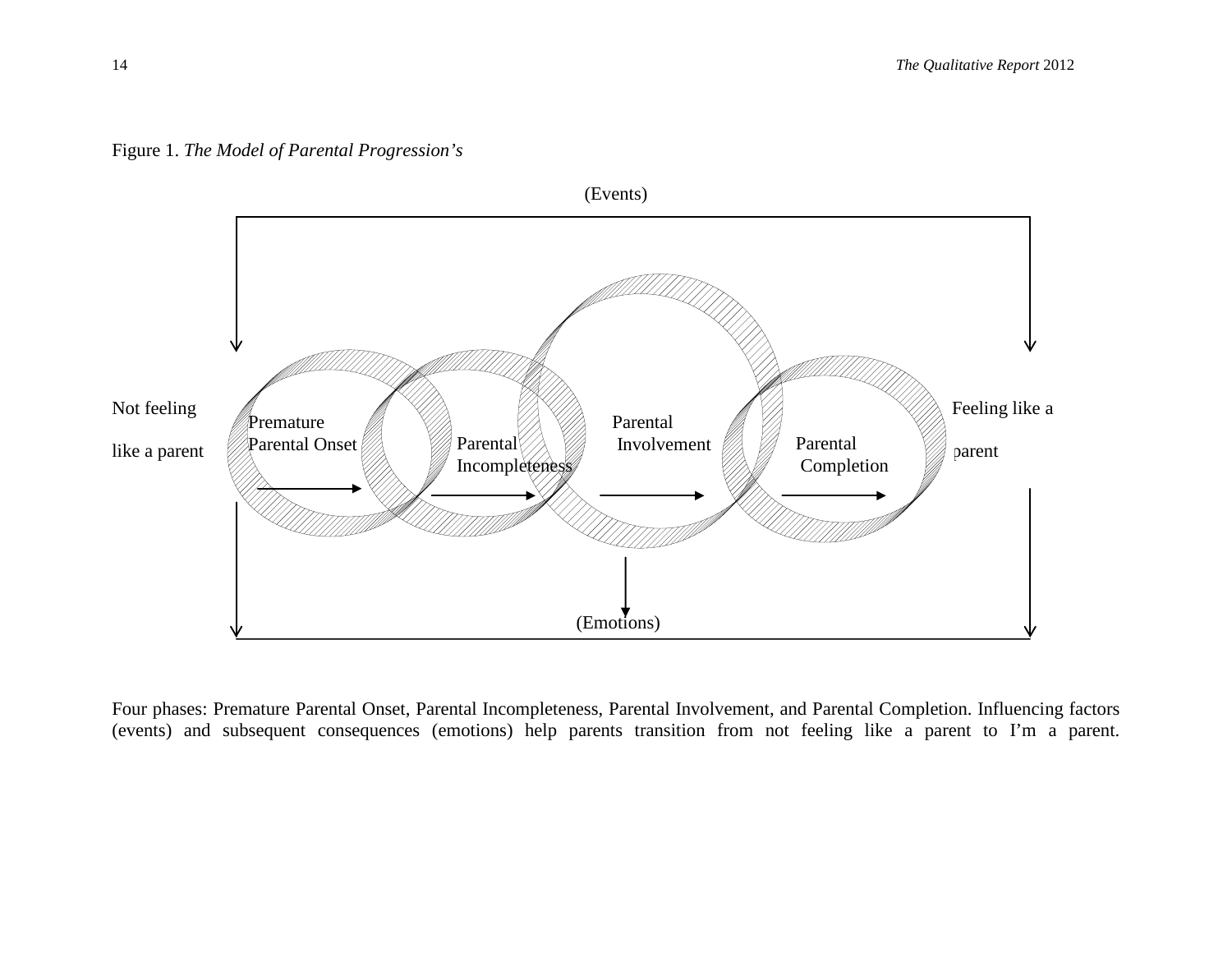

Figure 1. *The Model of Parental Progression's*

Four phases: Premature Parental Onset, Parental Incompleteness, Parental Involvement, and Parental Completion. Influencing factors (events) and subsequent consequences (emotions) help parents transition from not feeling like a parent to I'm a parent.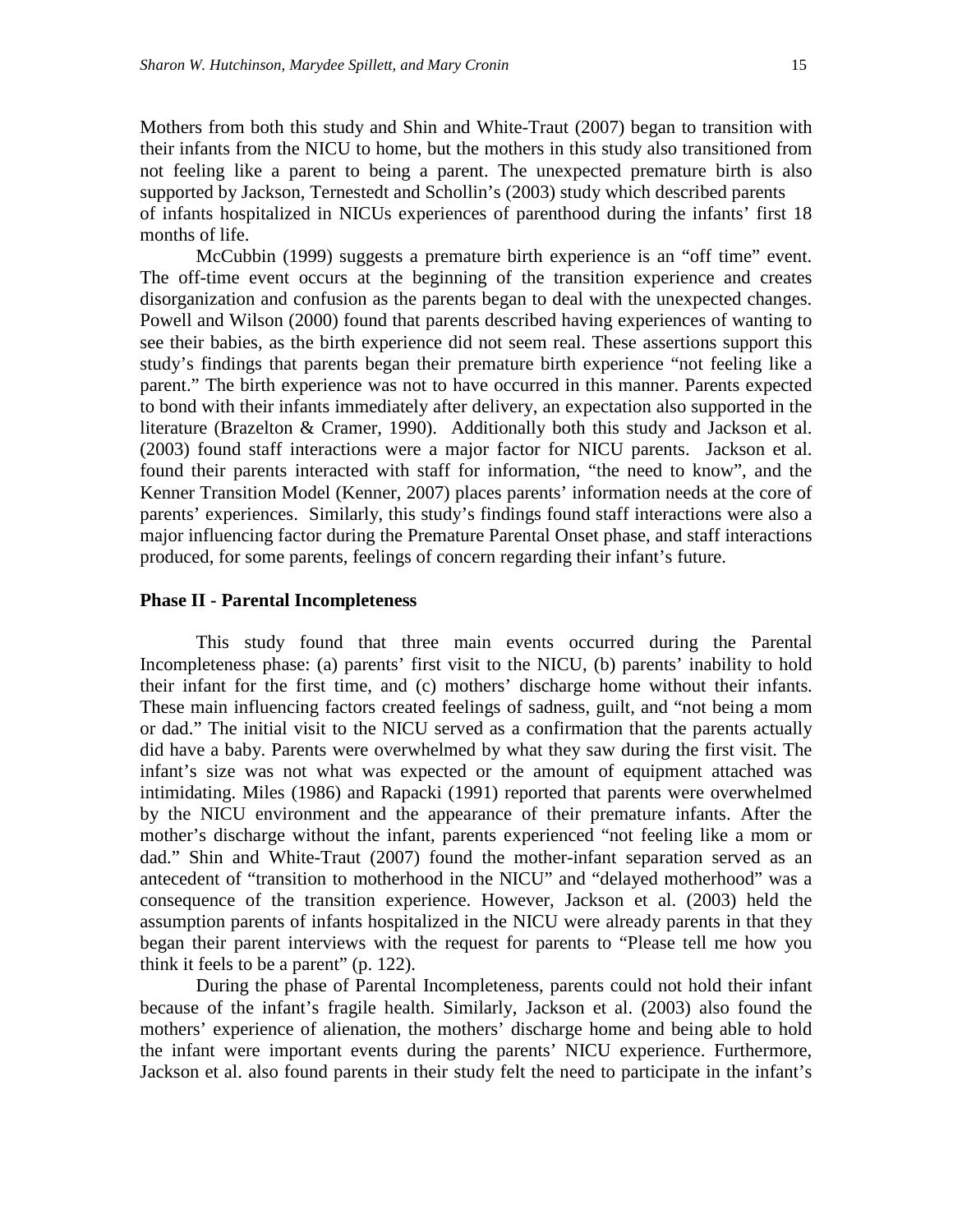Mothers from both this study and Shin and White-Traut (2007) began to transition with their infants from the NICU to home, but the mothers in this study also transitioned from not feeling like a parent to being a parent. The unexpected premature birth is also supported by Jackson, Ternestedt and Schollin's (2003) study which described parents of infants hospitalized in NICUs experiences of parenthood during the infants' first 18 months of life.

McCubbin (1999) suggests a premature birth experience is an "off time" event. The off-time event occurs at the beginning of the transition experience and creates disorganization and confusion as the parents began to deal with the unexpected changes. Powell and Wilson (2000) found that parents described having experiences of wanting to see their babies, as the birth experience did not seem real. These assertions support this study's findings that parents began their premature birth experience "not feeling like a parent." The birth experience was not to have occurred in this manner. Parents expected to bond with their infants immediately after delivery, an expectation also supported in the literature (Brazelton & Cramer, 1990). Additionally both this study and Jackson et al. (2003) found staff interactions were a major factor for NICU parents. Jackson et al. found their parents interacted with staff for information, "the need to know", and the Kenner Transition Model (Kenner, 2007) places parents' information needs at the core of parents' experiences. Similarly, this study's findings found staff interactions were also a major influencing factor during the Premature Parental Onset phase, and staff interactions produced, for some parents, feelings of concern regarding their infant's future.

#### **Phase II - Parental Incompleteness**

This study found that three main events occurred during the Parental Incompleteness phase: (a) parents' first visit to the NICU, (b) parents' inability to hold their infant for the first time, and (c) mothers' discharge home without their infants. These main influencing factors created feelings of sadness, guilt, and "not being a mom or dad." The initial visit to the NICU served as a confirmation that the parents actually did have a baby. Parents were overwhelmed by what they saw during the first visit. The infant's size was not what was expected or the amount of equipment attached was intimidating. Miles (1986) and Rapacki (1991) reported that parents were overwhelmed by the NICU environment and the appearance of their premature infants. After the mother's discharge without the infant, parents experienced "not feeling like a mom or dad." Shin and White-Traut (2007) found the mother-infant separation served as an antecedent of "transition to motherhood in the NICU" and "delayed motherhood" was a consequence of the transition experience. However, Jackson et al. (2003) held the assumption parents of infants hospitalized in the NICU were already parents in that they began their parent interviews with the request for parents to "Please tell me how you think it feels to be a parent" (p. 122).

During the phase of Parental Incompleteness, parents could not hold their infant because of the infant's fragile health. Similarly, Jackson et al. (2003) also found the mothers' experience of alienation, the mothers' discharge home and being able to hold the infant were important events during the parents' NICU experience. Furthermore, Jackson et al. also found parents in their study felt the need to participate in the infant's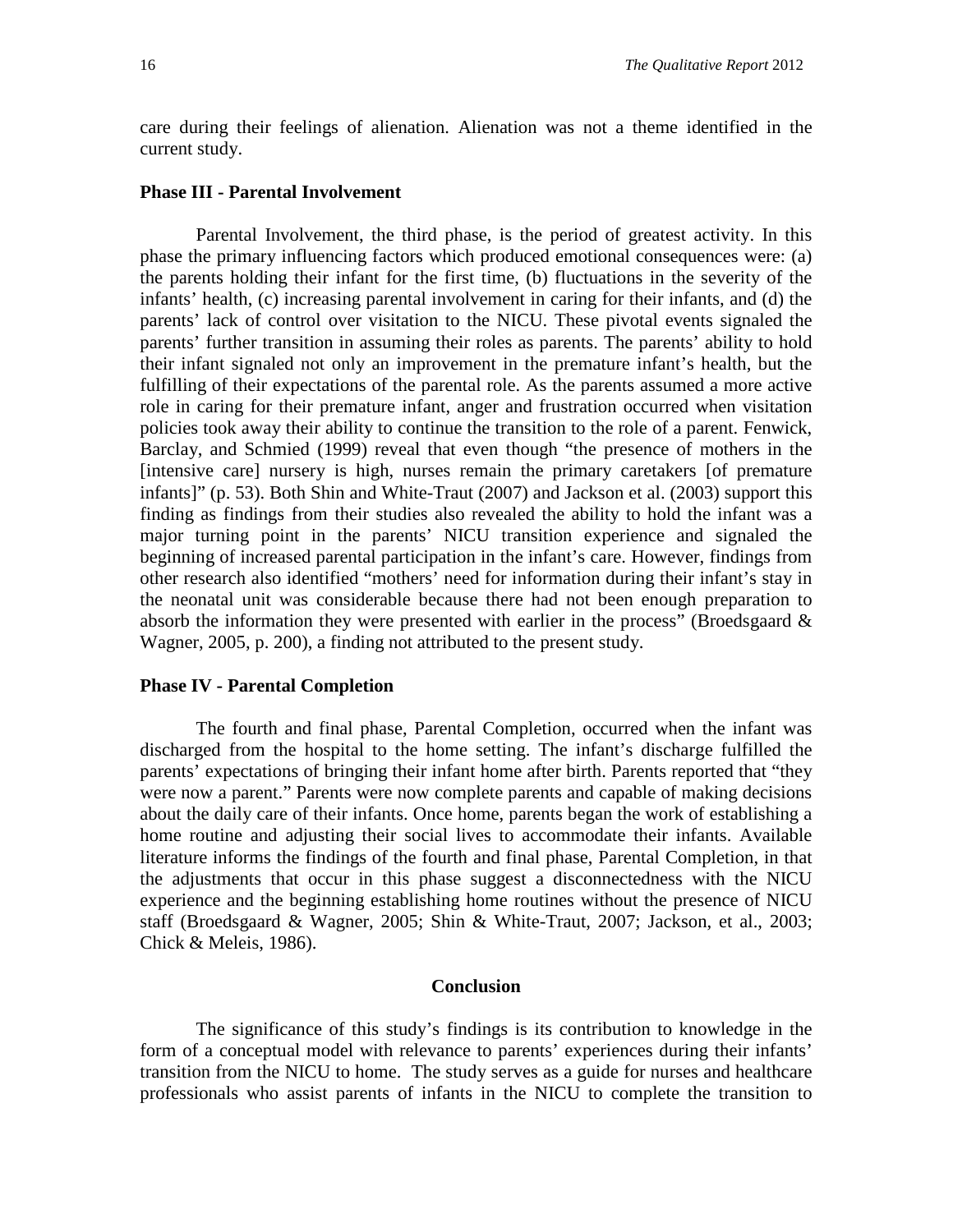care during their feelings of alienation. Alienation was not a theme identified in the current study.

#### **Phase III - Parental Involvement**

Parental Involvement, the third phase, is the period of greatest activity. In this phase the primary influencing factors which produced emotional consequences were: (a) the parents holding their infant for the first time, (b) fluctuations in the severity of the infants' health, (c) increasing parental involvement in caring for their infants, and (d) the parents' lack of control over visitation to the NICU. These pivotal events signaled the parents' further transition in assuming their roles as parents. The parents' ability to hold their infant signaled not only an improvement in the premature infant's health, but the fulfilling of their expectations of the parental role. As the parents assumed a more active role in caring for their premature infant, anger and frustration occurred when visitation policies took away their ability to continue the transition to the role of a parent. Fenwick, Barclay, and Schmied (1999) reveal that even though "the presence of mothers in the [intensive care] nursery is high, nurses remain the primary caretakers [of premature infants]" (p. 53). Both Shin and White-Traut (2007) and Jackson et al. (2003) support this finding as findings from their studies also revealed the ability to hold the infant was a major turning point in the parents' NICU transition experience and signaled the beginning of increased parental participation in the infant's care. However, findings from other research also identified "mothers' need for information during their infant's stay in the neonatal unit was considerable because there had not been enough preparation to absorb the information they were presented with earlier in the process" (Broedsgaard  $\&$ Wagner, 2005, p. 200), a finding not attributed to the present study.

#### **Phase IV - Parental Completion**

The fourth and final phase, Parental Completion, occurred when the infant was discharged from the hospital to the home setting. The infant's discharge fulfilled the parents' expectations of bringing their infant home after birth. Parents reported that "they were now a parent." Parents were now complete parents and capable of making decisions about the daily care of their infants. Once home, parents began the work of establishing a home routine and adjusting their social lives to accommodate their infants. Available literature informs the findings of the fourth and final phase, Parental Completion, in that the adjustments that occur in this phase suggest a disconnectedness with the NICU experience and the beginning establishing home routines without the presence of NICU staff (Broedsgaard & Wagner, 2005; Shin & White-Traut, 2007; Jackson, et al., 2003; Chick & Meleis, 1986).

#### **Conclusion**

The significance of this study's findings is its contribution to knowledge in the form of a conceptual model with relevance to parents' experiences during their infants' transition from the NICU to home. The study serves as a guide for nurses and healthcare professionals who assist parents of infants in the NICU to complete the transition to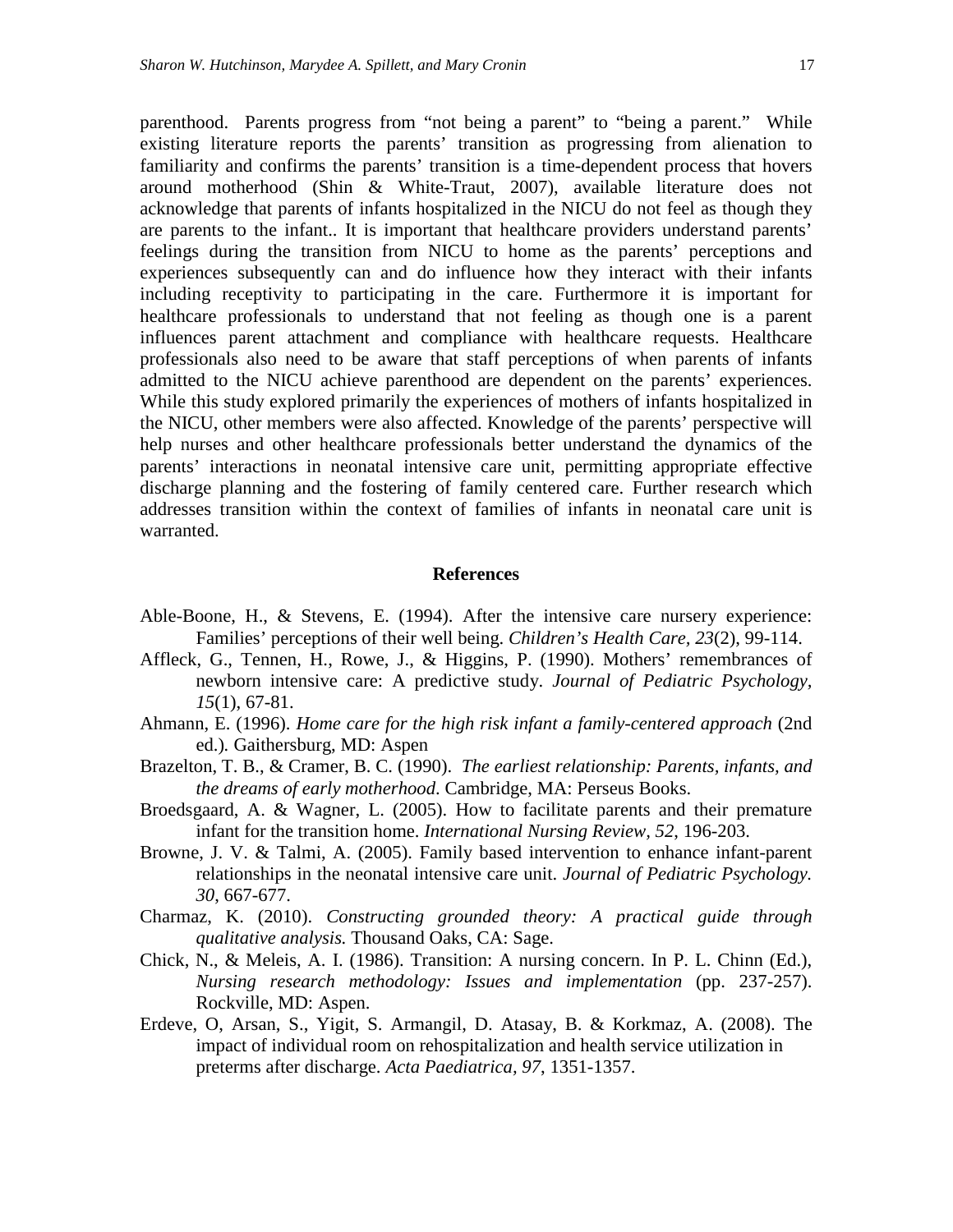parenthood. Parents progress from "not being a parent" to "being a parent." While existing literature reports the parents' transition as progressing from alienation to familiarity and confirms the parents' transition is a time-dependent process that hovers around motherhood (Shin & White-Traut, 2007), available literature does not acknowledge that parents of infants hospitalized in the NICU do not feel as though they are parents to the infant.. It is important that healthcare providers understand parents' feelings during the transition from NICU to home as the parents' perceptions and experiences subsequently can and do influence how they interact with their infants including receptivity to participating in the care. Furthermore it is important for healthcare professionals to understand that not feeling as though one is a parent influences parent attachment and compliance with healthcare requests. Healthcare professionals also need to be aware that staff perceptions of when parents of infants admitted to the NICU achieve parenthood are dependent on the parents' experiences. While this study explored primarily the experiences of mothers of infants hospitalized in the NICU, other members were also affected. Knowledge of the parents' perspective will help nurses and other healthcare professionals better understand the dynamics of the parents' interactions in neonatal intensive care unit, permitting appropriate effective discharge planning and the fostering of family centered care. Further research which addresses transition within the context of families of infants in neonatal care unit is warranted.

#### **References**

- Able-Boone, H., & Stevens, E. (1994). After the intensive care nursery experience: Families' perceptions of their well being. *Children's Health Care, 23*(2), 99-114.
- Affleck, G., Tennen, H., Rowe, J., & Higgins, P. (1990). Mothers' remembrances of newborn intensive care: A predictive study. *Journal of Pediatric Psychology, 15*(1), 67-81.
- Ahmann, E. (1996). *Home care for the high risk infant a family-centered approach* (2nd ed.)*.* Gaithersburg, MD: Aspen
- Brazelton, T. B., & Cramer, B. C. (1990). *The earliest relationship: Parents, infants, and the dreams of early motherhood*. Cambridge, MA: Perseus Books.
- Broedsgaard, A. & Wagner, L. (2005). How to facilitate parents and their premature infant for the transition home. *International Nursing Review, 52*, 196-203.
- Browne, J. V. & Talmi, A. (2005). Family based intervention to enhance infant-parent relationships in the neonatal intensive care unit. *Journal of Pediatric Psychology. 30*, 667-677.
- Charmaz, K. (2010). *Constructing grounded theory: A practical guide through qualitative analysis.* Thousand Oaks, CA: Sage.
- Chick, N., & Meleis, A. I. (1986). Transition: A nursing concern. In P. L. Chinn (Ed.), *Nursing research methodology: Issues and implementation* (pp. 237-257). Rockville, MD: Aspen.
- Erdeve, O, Arsan, S., Yigit, S. Armangil, D. Atasay, B. & Korkmaz, A. (2008). The impact of individual room on rehospitalization and health service utilization in preterms after discharge. *Acta Paediatrica, 97*, 1351-1357.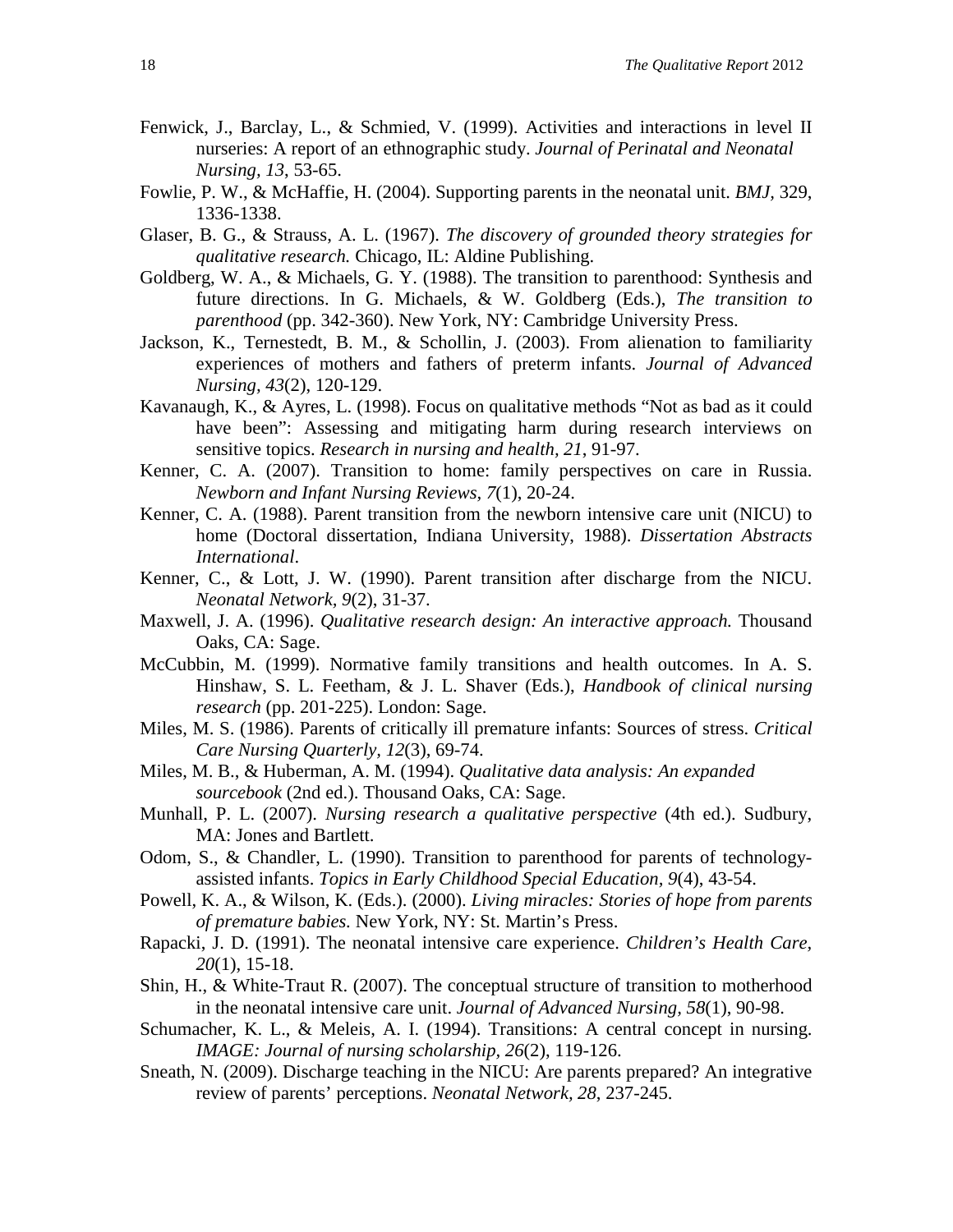- Fenwick, J., Barclay, L., & Schmied, V. (1999). Activities and interactions in level II nurseries: A report of an ethnographic study. *Journal of Perinatal and Neonatal Nursing, 13*, 53-65.
- Fowlie, P. W., & McHaffie, H. (2004). Supporting parents in the neonatal unit. *BMJ,* 329, 1336-1338.
- Glaser, B. G., & Strauss, A. L. (1967). *The discovery of grounded theory strategies for qualitative research.* Chicago, IL: Aldine Publishing.
- Goldberg, W. A., & Michaels, G. Y. (1988). The transition to parenthood: Synthesis and future directions. In G. Michaels, & W. Goldberg (Eds.), *The transition to parenthood* (pp. 342-360). New York, NY: Cambridge University Press.
- Jackson, K., Ternestedt, B. M., & Schollin, J. (2003). From alienation to familiarity experiences of mothers and fathers of preterm infants. *Journal of Advanced Nursing, 43*(2), 120-129.
- Kavanaugh, K., & Ayres, L. (1998). Focus on qualitative methods "Not as bad as it could have been": Assessing and mitigating harm during research interviews on sensitive topics. *Research in nursing and health, 21*, 91-97.
- Kenner, C. A. (2007). Transition to home: family perspectives on care in Russia. *Newborn and Infant Nursing Reviews, 7*(1), 20-24.
- Kenner, C. A. (1988). Parent transition from the newborn intensive care unit (NICU) to home (Doctoral dissertation, Indiana University, 1988). *Dissertation Abstracts International*.
- Kenner, C., & Lott, J. W. (1990). Parent transition after discharge from the NICU. *Neonatal Network, 9*(2), 31-37.
- Maxwell, J. A. (1996). *Qualitative research design: An interactive approach.* Thousand Oaks, CA: Sage.
- McCubbin, M. (1999). Normative family transitions and health outcomes. In A. S. Hinshaw, S. L. Feetham, & J. L. Shaver (Eds.), *Handbook of clinical nursing research* (pp. 201-225). London: Sage.
- Miles, M. S. (1986). Parents of critically ill premature infants: Sources of stress. *Critical Care Nursing Quarterly, 12*(3), 69-74.
- Miles, M. B., & Huberman, A. M. (1994). *Qualitative data analysis: An expanded sourcebook* (2nd ed.). Thousand Oaks, CA: Sage.
- Munhall, P. L. (2007). *Nursing research a qualitative perspective* (4th ed.). Sudbury, MA: Jones and Bartlett.
- Odom, S., & Chandler, L. (1990). Transition to parenthood for parents of technologyassisted infants. *Topics in Early Childhood Special Education, 9*(4), 43-54.
- Powell, K. A., & Wilson, K. (Eds.). (2000). *Living miracles: Stories of hope from parents of premature babies.* New York, NY: St. Martin's Press.
- Rapacki, J. D. (1991). The neonatal intensive care experience. *Children's Health Care, 20*(1), 15-18.
- Shin, H., & White-Traut R. (2007). The conceptual structure of transition to motherhood in the neonatal intensive care unit. *Journal of Advanced Nursing, 58*(1), 90-98.
- Schumacher, K. L., & Meleis, A. I. (1994). Transitions: A central concept in nursing. *IMAGE: Journal of nursing scholarship, 26*(2), 119-126.
- Sneath, N. (2009). Discharge teaching in the NICU: Are parents prepared? An integrative review of parents' perceptions. *Neonatal Network, 28*, 237-245.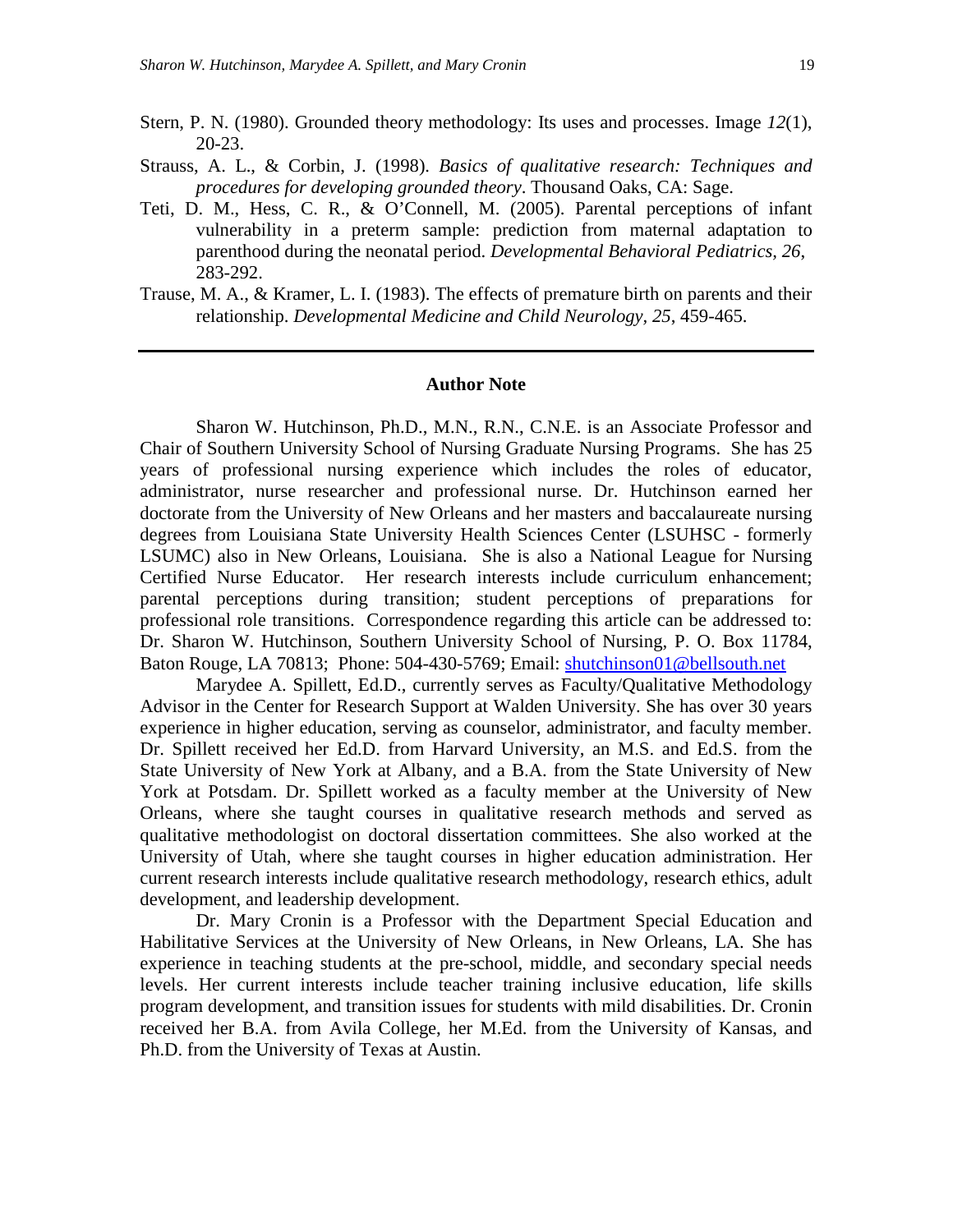- Stern, P. N. (1980). Grounded theory methodology: Its uses and processes. Image *12*(1), 20-23.
- Strauss, A. L., & Corbin, J. (1998). *Basics of qualitative research: Techniques and procedures for developing grounded theory*. Thousand Oaks, CA: Sage.
- Teti, D. M., Hess, C. R., & O'Connell, M. (2005). Parental perceptions of infant vulnerability in a preterm sample: prediction from maternal adaptation to parenthood during the neonatal period. *Developmental Behavioral Pediatrics, 26*, 283-292.
- Trause, M. A., & Kramer, L. I. (1983). The effects of premature birth on parents and their relationship. *Developmental Medicine and Child Neurology, 25*, 459-465.

#### **Author Note**

Sharon W. Hutchinson, Ph.D., M.N., R.N., C.N.E. is an Associate Professor and Chair of Southern University School of Nursing Graduate Nursing Programs. She has 25 years of professional nursing experience which includes the roles of educator, administrator, nurse researcher and professional nurse. Dr. Hutchinson earned her doctorate from the University of New Orleans and her masters and baccalaureate nursing degrees from Louisiana State University Health Sciences Center (LSUHSC - formerly LSUMC) also in New Orleans, Louisiana. She is also a National League for Nursing Certified Nurse Educator. Her research interests include curriculum enhancement; parental perceptions during transition; student perceptions of preparations for professional role transitions. Correspondence regarding this article can be addressed to: Dr. Sharon W. Hutchinson, Southern University School of Nursing, P. O. Box 11784, Baton Rouge, LA 70813; Phone: 504-430-5769; Email: [shutchinson01@bellsouth.net](mailto:shutchinson01@bellsouth.net)

Marydee A. Spillett, Ed.D., currently serves as Faculty/Qualitative Methodology Advisor in the Center for Research Support at Walden University. She has over 30 years experience in higher education, serving as counselor, administrator, and faculty member. Dr. Spillett received her Ed.D. from Harvard University, an M.S. and Ed.S. from the State University of New York at Albany, and a B.A. from the State University of New York at Potsdam. Dr. Spillett worked as a faculty member at the University of New Orleans, where she taught courses in qualitative research methods and served as qualitative methodologist on doctoral dissertation committees. She also worked at the University of Utah, where she taught courses in higher education administration. Her current research interests include qualitative research methodology, research ethics, adult development, and leadership development.

Dr. Mary Cronin is a Professor with the Department Special Education and Habilitative Services at the University of New Orleans, in New Orleans, LA. She has experience in teaching students at the pre-school, middle, and secondary special needs levels. Her current interests include teacher training inclusive education, life skills program development, and transition issues for students with mild disabilities. Dr. Cronin received her B.A. from Avila College, her M.Ed. from the University of Kansas, and Ph.D. from the University of Texas at Austin.